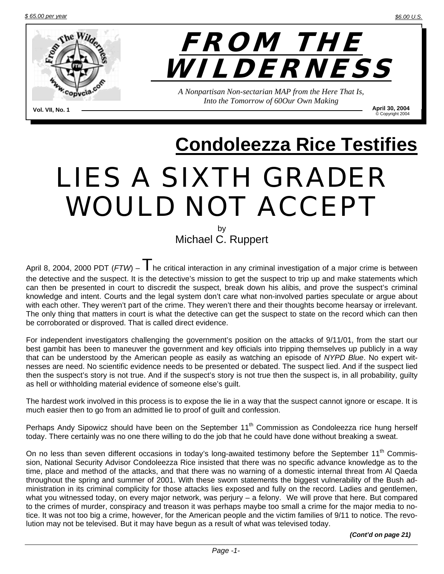

**April 30, 2004**<br>**Copyright 2004** © Copyright <sup>2004</sup> **Vol. VII, No. 1** 

# **Condoleezza Rice Testifies**

## LIES A SIXTH GRADER WOULD NOT ACCEPT

by Michael C. Ruppert

April 8, 2004, 2000 PDT ( $FTW$ ) –  $\overline{T}$  he critical interaction in any criminal investigation of a major crime is between the detective and the suspect. It is the detective's mission to get the suspect to trip up and make statements which can then be presented in court to discredit the suspect, break down his alibis, and prove the suspect's criminal knowledge and intent. Courts and the legal system don't care what non-involved parties speculate or argue about with each other. They weren't part of the crime. They weren't there and their thoughts become hearsay or irrelevant. The only thing that matters in court is what the detective can get the suspect to state on the record which can then be corroborated or disproved. That is called direct evidence.

For independent investigators challenging the government's position on the attacks of 9/11/01, from the start our best gambit has been to maneuver the government and key officials into tripping themselves up publicly in a way that can be understood by the American people as easily as watching an episode of *NYPD Blue*. No expert witnesses are need. No scientific evidence needs to be presented or debated. The suspect lied. And if the suspect lied then the suspect's story is not true. And if the suspect's story is not true then the suspect is, in all probability, guilty as hell or withholding material evidence of someone else's guilt.

The hardest work involved in this process is to expose the lie in a way that the suspect cannot ignore or escape. It is much easier then to go from an admitted lie to proof of guilt and confession.

Perhaps Andy Sipowicz should have been on the September 11<sup>th</sup> Commission as Condoleezza rice hung herself today. There certainly was no one there willing to do the job that he could have done without breaking a sweat.

On no less than seven different occasions in today's long-awaited testimony before the September 11<sup>th</sup> Commission, National Security Advisor Condoleezza Rice insisted that there was no specific advance knowledge as to the time, place and method of the attacks, and that there was no warning of a domestic internal threat from Al Qaeda throughout the spring and summer of 2001. With these sworn statements the biggest vulnerability of the Bush administration in its criminal complicity for those attacks lies exposed and fully on the record. Ladies and gentlemen, what you witnessed today, on every major network, was perjury – a felony. We will prove that here. But compared to the crimes of murder, conspiracy and treason it was perhaps maybe too small a crime for the major media to notice. It was not too big a crime, however, for the American people and the victim families of 9/11 to notice. The revolution may not be televised. But it may have begun as a result of what was televised today.

*(Cont'd on page 21)*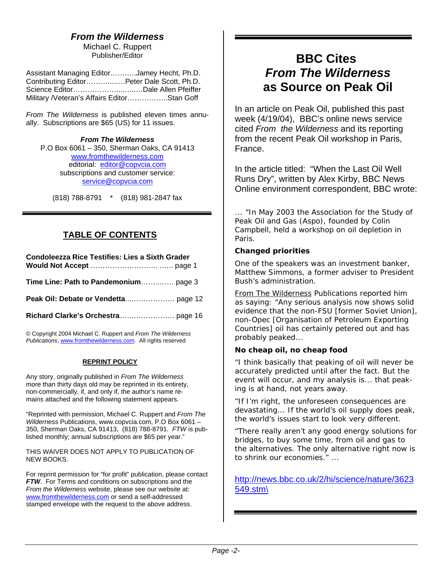#### *From the Wilderness*

Michael C. Ruppert Publisher/Editor

Assistant Managing Editor…….….Jamey Hecht, Ph.D. Contributing Editor……….....…Peter Dale Scott, Ph.D. Science Editor………………...…...…Dale Allen Pfeiffer Military /Veteran's Affairs Editor……………..Stan Goff

*From The Wilderness* is published eleven times annually. Subscriptions are \$65 (US) for 11 issues.

*From The Wilderness*  P.O Box 6061 – 350, Sherman Oaks, CA 91413 [www.fromthewilderness.com](http://www.copvcia.com/) editorial: [editor@copvcia.com](mailto:editor@copvcia.com) subscriptions and customer service: [service@copvcia.com](mailto:service@copvcia.com)

(818) 788-8791 \* (818) 981-2847 fax

#### **TABLE OF CONTENTS**

| <b>Condoleezza Rice Testifies: Lies a Sixth Grader</b> |  |
|--------------------------------------------------------|--|
| Time Line: Path to Pandemonium page 3                  |  |
|                                                        |  |
|                                                        |  |
|                                                        |  |

© Copyright 2004 Michael C. Ruppert and *From The Wilderness Publications*, [www.fromthewilderness.com](http://www.copvcia.com/). All rights reserved

#### **REPRINT POLICY**

Any story, originally published in *From The Wilderness* more than thirty days old may be reprinted in its entirety, non-commercially, if, and only if, the author's name remains attached and the following statement appears.

"Reprinted with permission, Michael C. Ruppert and *From The Wilderness* Publications, www.copvcia.com, P.O Box 6061 – 350, Sherman Oaks, CA 91413, (818) 788-8791. *FTW* is published monthly; annual subscriptions are \$65 per year."

THIS WAIVER DOES NOT APPLY TO PUBLICATION OF NEW BOOKS.

For reprint permission for "for profit" publication, please contact *FTW*. For Terms and conditions on subscriptions and the *From the Wilderness* website, please see our website at: [www.fromthewilderness.com](http://www.fromthewilderness.com/) or send a self-addressed stamped envelope with the request to the above address.

### **BBC Cites**  *From The Wilderness*   **as Source on Peak Oil**

In an article on Peak Oil, published this past week (4/19/04), BBC's online news service cited *From the Wilderness* and its reporting from the recent Peak Oil workshop in Paris, France.

In the article titled: "When the Last Oil Well Runs Dry", written by Alex Kirby, BBC News Online environment correspondent, BBC wrote:

*... "In May 2003 the Association for the Study of Peak Oil and Gas (Aspo), founded by Colin Campbell, held a workshop on oil depletion in Paris.* 

#### *Changed priorities*

*One of the speakers was an investment banker, Matthew Simmons, a former adviser to President Bush's administration.* 

*From The Wilderness Publications reported him as saying: "Any serious analysis now shows solid evidence that the non-FSU [former Soviet Union], non-Opec [Organisation of Petroleum Exporting Countries] oil has certainly petered out and has probably peaked...* 

#### *No cheap oil, no cheap food*

*"I think basically that peaking of oil will never be accurately predicted until after the fact. But the event will occur, and my analysis is... that peaking is at hand, not years away.* 

*"If I'm right, the unforeseen consequences are devastating... If the world's oil supply does peak, the world's issues start to look very different.* 

*"There really aren't any good energy solutions for bridges, to buy some time, from oil and gas to the alternatives. The only alternative right now is to shrink our economies." ...* 

[http://news.bbc.co.uk/2/hi/science/nature/3623](http://news.bbc.co.uk/2/hi/science/nature/3623549.stm/) [549.stm\](http://news.bbc.co.uk/2/hi/science/nature/3623549.stm/)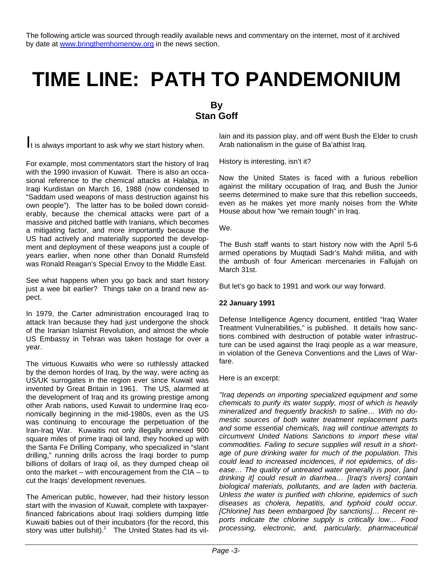The following article was sourced through readily available news and commentary on the internet, most of it archived by date at [www.bringthemhomenow.org](http://www.bringthemhomenow.org/) in the news section.

## **TIME LINE: PATH TO PANDEMONIUM**

#### **By Stan Goff**

It is always important to ask why we start history when.

For example, most commentators start the history of Iraq with the 1990 invasion of Kuwait. There is also an occasional reference to the chemical attacks at Halabja, in Iraqi Kurdistan on March 16, 1988 (now condensed to "Saddam used weapons of mass destruction against his own people"). The latter has to be boiled down considerably, because the chemical attacks were part of a massive and pitched battle with Iranians, which becomes a mitigating factor, and more importantly because the US had actively and materially supported the development and deployment of these weapons just a couple of years earlier, when none other than Donald Rumsfeld was Ronald Reagan's Special Envoy to the Middle East.

See what happens when you go back and start history just a wee bit earlier? Things take on a brand new aspect.

In 1979, the Carter administration encouraged Iraq to attack Iran because they had just undergone the shock of the Iranian Islamist Revolution, and almost the whole US Embassy in Tehran was taken hostage for over a year.

The virtuous Kuwaitis who were so ruthlessly attacked by the demon hordes of Iraq, by the way, were acting as US/UK surrogates in the region ever since Kuwait was invented by Great Britain in 1961. The US, alarmed at the development of Iraq and its growing prestige among other Arab nations, used Kuwait to undermine Iraq economically beginning in the mid-1980s, even as the US was continuing to encourage the perpetuation of the Iran-Iraq War. Kuwaitis not only illegally annexed 900 square miles of prime Iraqi oil land, they hooked up with the Santa Fe Drilling Company, who specialized in "slant drilling," running drills across the Iraqi border to pump billions of dollars of Iraqi oil, as they dumped cheap oil onto the market – with encouragement from the CIA – to cut the Iraqis' development revenues.

The American public, however, had their history lesson start with the invasion of Kuwait, complete with taxpayerfinanced fabrications about Iraqi soldiers dumping little Kuwaiti babies out of their incubators (for the record, this story was utter bullshit).<sup>1</sup> The United States had its villain and its passion play, and off went Bush the Elder to crush Arab nationalism in the guise of Ba'athist Iraq.

History is interesting, isn't it?

Now the United States is faced with a furious rebellion against the military occupation of Iraq, and Bush the Junior seems determined to make sure that this rebellion succeeds, even as he makes yet more manly noises from the White House about how "we remain tough" in Iraq.

We.

The Bush staff wants to start history now with the April 5-6 armed operations by Muqtadi Sadr's Mahdi militia, and with the ambush of four American mercenaries in Fallujah on March 31st.

But let's go back to 1991 and work our way forward.

#### **22 January 1991**

Defense Intelligence Agency document, entitled "Iraq Water Treatment Vulnerabilities," is published. It details how sanctions combined with destruction of potable water infrastructure can be used against the Iraqi people as a war measure, in violation of the Geneva Conventions and the Laws of Warfare.

Here is an excerpt:

*"Iraq depends on importing specialized equipment and some chemicals to purify its water supply, most of which is heavily mineralized and frequently brackish to saline… With no domestic sources of both water treatment replacement parts and some essential chemicals, Iraq will continue attempts to circumvent United Nations Sanctions to import these vital commodities. Failing to secure supplies will result in a shortage of pure drinking water for much of the population. This could lead to increased incidences, if not epidemics, of disease… The quality of untreated water generally is poor, [and drinking it] could result in diarrhea… [Iraq's rivers] contain biological materials, pollutants, and are laden with bacteria. Unless the water is purified with chlorine, epidemics of such diseases as cholera, hepatitis, and typhoid could occur. [Chlorine] has been embargoed [by sanctions]… Recent reports indicate the chlorine supply is critically low… Food processing, electronic, and, particularly, pharmaceutical*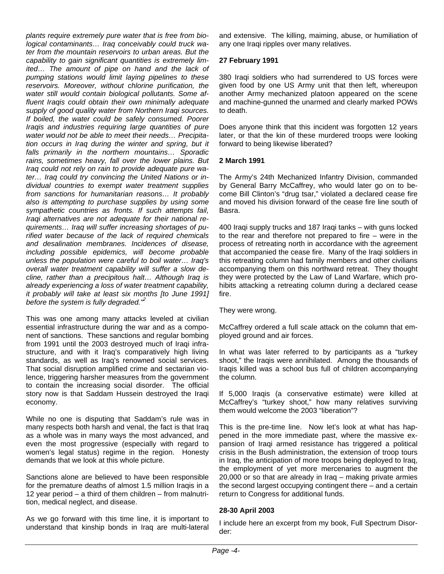*plants require extremely pure water that is free from biological contaminants… Iraq conceivably could truck water from the mountain reservoirs to urban areas. But the capability to gain significant quantities is extremely limited… The amount of pipe on hand and the lack of pumping stations would limit laying pipelines to these reservoirs. Moreover, without chlorine purification, the water still would contain biological pollutants. Some affluent Iraqis could obtain their own minimally adequate supply of good quality water from Northern Iraqi sources. If boiled, the water could be safely consumed. Poorer Iraqis and industries requiring large quantities of pure water would not be able to meet their needs… Precipitation occurs in Iraq during the winter and spring, but it falls primarily in the northern mountains… Sporadic rains, sometimes heavy, fall over the lower plains. But Iraq could not rely on rain to provide adequate pure water… Iraq could try convincing the United Nations or individual countries to exempt water treatment supplies from sanctions for humanitarian reasons… It probably also is attempting to purchase supplies by using some sympathetic countries as fronts. If such attempts fail, Iraqi alternatives are not adequate for their national requirements… Iraq will suffer increasing shortages of purified water because of the lack of required chemicals and desalination membranes. Incidences of disease, including possible epidemics, will become probable unless the population were careful to boil water… Iraq's overall water treatment capability will suffer a slow decline, rather than a precipitous halt… Although Iraq is already experiencing a loss of water treatment capability, it probably will take at least six months [to June 1991] before the system is fully degraded."2* 

This was one among many attacks leveled at civilian essential infrastructure during the war and as a component of sanctions. These sanctions and regular bombing from 1991 until the 2003 destroyed much of Iraqi infrastructure, and with it Iraq's comparatively high living standards, as well as Iraq's renowned social services. That social disruption amplified crime and sectarian violence, triggering harsher measures from the government to contain the increasing social disorder. The official story now is that Saddam Hussein destroyed the Iraqi economy.

While no one is disputing that Saddam's rule was in many respects both harsh and venal, the fact is that Iraq as a whole was in many ways the most advanced, and even the most progressive (especially with regard to women's legal status) regime in the region. Honesty demands that we look at this whole picture.

Sanctions alone are believed to have been responsible for the premature deaths of almost 1.5 million Iraqis in a 12 year period – a third of them children – from malnutrition, medical neglect, and disease.

As we go forward with this time line, it is important to understand that kinship bonds in Iraq are multi-lateral and extensive. The killing, maiming, abuse, or humiliation of any one Iraqi ripples over many relatives.

#### **27 February 1991**

380 Iraqi soldiers who had surrendered to US forces were given food by one US Army unit that then left, whereupon another Army mechanized platoon appeared on the scene and machine-gunned the unarmed and clearly marked POWs to death.

Does anyone think that this incident was forgotten 12 years later, or that the kin of these murdered troops were looking forward to being likewise liberated?

#### **2 March 1991**

The Army's 24th Mechanized Infantry Division, commanded by General Barry McCaffrey, who would later go on to become Bill Clinton's "drug tsar," violated a declared cease fire and moved his division forward of the cease fire line south of Basra.

400 Iraqi supply trucks and 187 Iraqi tanks – with guns locked to the rear and therefore not prepared to fire – were in the process of retreating north in accordance with the agreement that accompanied the cease fire. Many of the Iraqi soldiers in this retreating column had family members and other civilians accompanying them on this northward retreat. They thought they were protected by the Law of Land Warfare, which prohibits attacking a retreating column during a declared cease fire.

They were wrong.

McCaffrey ordered a full scale attack on the column that employed ground and air forces.

In what was later referred to by participants as a "turkey shoot," the Iraqis were annihilated. Among the thousands of Iraqis killed was a school bus full of children accompanying the column.

If 5,000 Iraqis (a conservative estimate) were killed at McCaffrey's "turkey shoot," how many relatives surviving them would welcome the 2003 "liberation"?

This is the pre-time line. Now let's look at what has happened in the more immediate past, where the massive expansion of Iraqi armed resistance has triggered a political crisis in the Bush administration, the extension of troop tours in Iraq, the anticipation of more troops being deployed to Iraq, the employment of yet more mercenaries to augment the 20,000 or so that are already in Iraq – making private armies the second largest occupying contingent there – and a certain return to Congress for additional funds.

#### **28-30 April 2003**

I include here an excerpt from my book, Full Spectrum Disorder: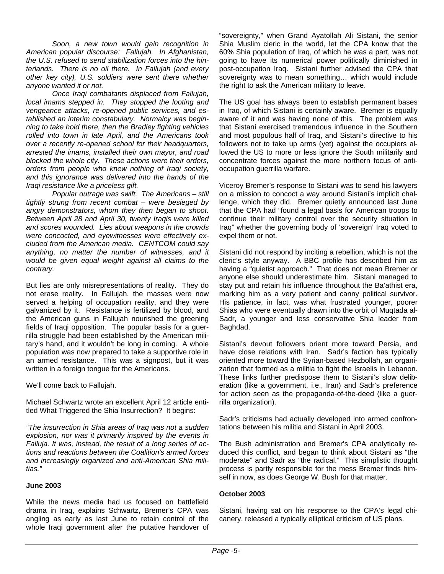*Soon, a new town would gain recognition in American popular discourse: Fallujah. In Afghanistan, the U.S. refused to send stabilization forces into the hinterlands. There is no oil there. In Fallujah (and every other key city), U.S. soldiers were sent there whether anyone wanted it or not.* 

 *Once Iraqi combatants displaced from Fallujah, local imams stepped in. They stopped the looting and vengeance attacks, re-opened public services, and established an interim constabulary. Normalcy was beginning to take hold there, then the Bradley fighting vehicles rolled into town in late April, and the Americans took over a recently re-opened school for their headquarters, arrested the imams, installed their own mayor, and road blocked the whole city. These actions were their orders, orders from people who knew nothing of Iraqi society, and this ignorance was delivered into the hands of the Iraqi resistance like a priceless gift.* 

 *Popular outrage was swift. The Americans – still tightly strung from recent combat – were besieged by angry demonstrators, whom they then began to shoot. Between April 28 and April 30, twenty Iraqis were killed and scores wounded. Lies about weapons in the crowds were concocted, and eyewitnesses were effectively excluded from the American media. CENTCOM could say anything, no matter the number of witnesses, and it would be given equal weight against all claims to the contrary.* 

But lies are only misrepresentations of reality. They do not erase reality. In Fallujah, the masses were now served a helping of occupation reality, and they were galvanized by it. Resistance is fertilized by blood, and the American guns in Fallujah nourished the greening fields of Iraqi opposition. The popular basis for a guerrilla struggle had been established by the American military's hand, and it wouldn't be long in coming. A whole population was now prepared to take a supportive role in an armed resistance. This was a signpost, but it was written in a foreign tongue for the Americans.

We'll come back to Fallujah.

Michael Schwartz wrote an excellent April 12 article entitled What Triggered the Shia Insurrection? It begins:

*"The insurrection in Shia areas of Iraq was not a sudden explosion, nor was it primarily inspired by the events in Falluja. It was, instead, the result of a long series of actions and reactions between the Coalition's armed forces and increasingly organized and anti-American Shia militias."* 

#### **June 2003**

While the news media had us focused on battlefield drama in Iraq, explains Schwartz, Bremer's CPA was angling as early as last June to retain control of the whole Iraqi government after the putative handover of "sovereignty," when Grand Ayatollah Ali Sistani, the senior Shia Muslim cleric in the world, let the CPA know that the 60% Shia population of Iraq, of which he was a part, was not going to have its numerical power politically diminished in post-occupation Iraq. Sistani further advised the CPA that sovereignty was to mean something… which would include the right to ask the American military to leave.

The US goal has always been to establish permanent bases in Iraq, of which Sistani is certainly aware. Bremer is equally aware of it and was having none of this. The problem was that Sistani exercised tremendous influence in the Southern and most populous half of Iraq, and Sistani's directive to his followers not to take up arms (yet) against the occupiers allowed the US to more or less ignore the South militarily and concentrate forces against the more northern focus of antioccupation guerrilla warfare.

Viceroy Bremer's response to Sistani was to send his lawyers on a mission to concoct a way around Sistani's implicit challenge, which they did. Bremer quietly announced last June that the CPA had "found a legal basis for American troops to continue their military control over the security situation in Iraq" whether the governing body of 'sovereign' Iraq voted to expel them or not.

Sistani did not respond by inciting a rebellion, which is not the cleric's style anyway. A BBC profile has described him as having a "quietist approach." That does not mean Bremer or anyone else should underestimate him. Sistani managed to stay put and retain his influence throughout the Ba'athist era, marking him as a very patient and canny political survivor. His patience, in fact, was what frustrated younger, poorer Shias who were eventually drawn into the orbit of Muqtada al-Sadr, a younger and less conservative Shia leader from Baghdad.

Sistani's devout followers orient more toward Persia, and have close relations with Iran. Sadr's faction has typically oriented more toward the Syrian-based Hezbollah, an organization that formed as a militia to fight the Israelis in Lebanon. These links further predispose them to Sistani's slow deliberation (like a government, i.e., Iran) and Sadr's preference for action seen as the propaganda-of-the-deed (like a guerrilla organization).

Sadr's criticisms had actually developed into armed confrontations between his militia and Sistani in April 2003.

The Bush administration and Bremer's CPA analytically reduced this conflict, and began to think about Sistani as "the moderate" and Sadr as "the radical." This simplistic thought process is partly responsible for the mess Bremer finds himself in now, as does George W. Bush for that matter.

#### **October 2003**

Sistani, having sat on his response to the CPA's legal chicanery, released a typically elliptical criticism of US plans.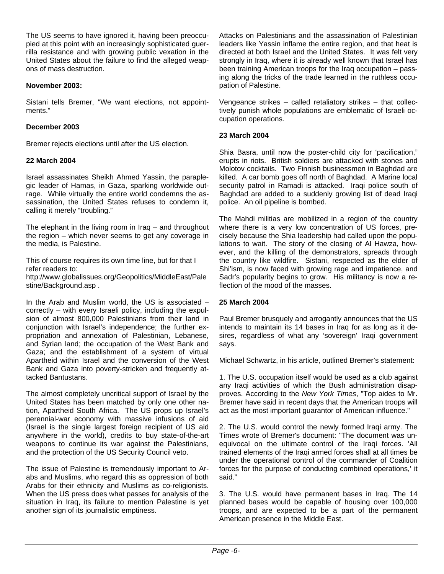The US seems to have ignored it, having been preoccupied at this point with an increasingly sophisticated guerrilla resistance and with growing public vexation in the United States about the failure to find the alleged weapons of mass destruction.

#### **November 2003:**

Sistani tells Bremer, "We want elections, not appointments."

#### **December 2003**

Bremer rejects elections until after the US election.

#### **22 March 2004**

Israel assassinates Sheikh Ahmed Yassin, the paraplegic leader of Hamas, in Gaza, sparking worldwide outrage. While virtually the entire world condemns the assassination, the United States refuses to condemn it, calling it merely "troubling."

The elephant in the living room in Iraq – and throughout the region – which never seems to get any coverage in the media, is Palestine.

This of course requires its own time line, but for that I refer readers to:

http://www.globalissues.org/Geopolitics/MiddleEast/Pale stine/Background.asp .

In the Arab and Muslim world, the US is associated – correctly – with every Israeli policy, including the expulsion of almost 800,000 Palestinians from their land in conjunction with Israel's independence; the further expropriation and annexation of Palestinian, Lebanese, and Syrian land; the occupation of the West Bank and Gaza; and the establishment of a system of virtual Apartheid within Israel and the conversion of the West Bank and Gaza into poverty-stricken and frequently attacked Bantustans.

The almost completely uncritical support of Israel by the United States has been matched by only one other nation, Apartheid South Africa. The US props up Israel's perennial-war economy with massive infusions of aid (Israel is the single largest foreign recipient of US aid anywhere in the world), credits to buy state-of-the-art weapons to continue its war against the Palestinians, and the protection of the US Security Council veto.

The issue of Palestine is tremendously important to Arabs and Muslims, who regard this as oppression of both Arabs for their ethnicity and Muslims as co-religionists. When the US press does what passes for analysis of the situation in Iraq, its failure to mention Palestine is yet another sign of its journalistic emptiness.

Attacks on Palestinians and the assassination of Palestinian leaders like Yassin inflame the entire region, and that heat is directed at both Israel and the United States. It was felt very strongly in Iraq, where it is already well known that Israel has been training American troops for the Iraq occupation – passing along the tricks of the trade learned in the ruthless occupation of Palestine.

Vengeance strikes – called retaliatory strikes – that collectively punish whole populations are emblematic of Israeli occupation operations.

#### **23 March 2004**

Shia Basra, until now the poster-child city for 'pacification," erupts in riots. British soldiers are attacked with stones and Molotov cocktails. Two Finnish businessmen in Baghdad are killed. A car bomb goes off north of Baghdad. A Marine local security patrol in Ramadi is attacked. Iraqi police south of Baghdad are added to a suddenly growing list of dead Iraqi police. An oil pipeline is bombed.

The Mahdi militias are mobilized in a region of the country where there is a very low concentration of US forces, precisely because the Shia leadership had called upon the populations to wait. The story of the closing of Al Hawza, however, and the killing of the demonstrators, spreads through the country like wildfire. Sistani, respected as the elder of Shi'ism, is now faced with growing rage and impatience, and Sadr's popularity begins to grow. His militancy is now a reflection of the mood of the masses.

#### **25 March 2004**

Paul Bremer brusquely and arrogantly announces that the US intends to maintain its 14 bases in Iraq for as long as it desires, regardless of what any 'sovereign' Iraqi government says.

Michael Schwartz, in his article, outlined Bremer's statement:

1. The U.S. occupation itself would be used as a club against any Iraqi activities of which the Bush administration disapproves. According to the *New York Times*, "Top aides to Mr. Bremer have said in recent days that the American troops will act as the most important guarantor of American influence."

2. The U.S. would control the newly formed Iraqi army. The Times wrote of Bremer's document: "The document was unequivocal on the ultimate control of the Iraqi forces. 'All trained elements of the Iraqi armed forces shall at all times be under the operational control of the commander of Coalition forces for the purpose of conducting combined operations,' it said."

3. The U.S. would have permanent bases in Iraq. The 14 planned bases would be capable of housing over 100,000 troops, and are expected to be a part of the permanent American presence in the Middle East.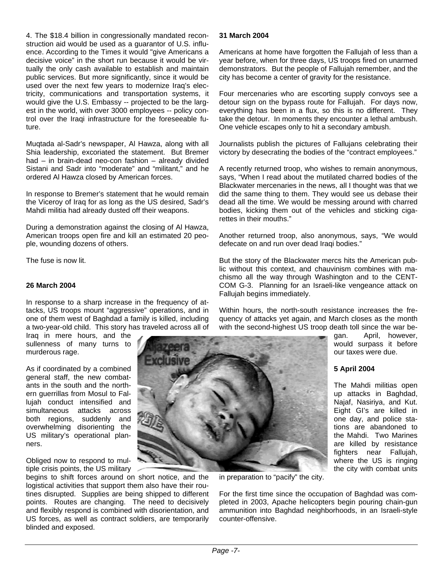4. The \$18.4 billion in congressionally mandated reconstruction aid would be used as a guarantor of U.S. influence. According to the Times it would "give Americans a decisive voice" in the short run because it would be virtually the only cash available to establish and maintain public services. But more significantly, since it would be used over the next few years to modernize Iraq's electricity, communications and transportation systems, it would give the U.S. Embassy -- projected to be the largest in the world, with over 3000 employees -- policy control over the Iraqi infrastructure for the foreseeable future.

Muqtada al-Sadr's newspaper, Al Hawza, along with all Shia leadership, excoriated the statement. But Bremer had – in brain-dead neo-con fashion – already divided Sistani and Sadr into "moderate" and "militant," and he ordered Al Hawza closed by American forces.

In response to Bremer's statement that he would remain the Viceroy of Iraq for as long as the US desired, Sadr's Mahdi militia had already dusted off their weapons.

During a demonstration against the closing of Al Hawza, American troops open fire and kill an estimated 20 people, wounding dozens of others.

The fuse is now lit.

#### **26 March 2004**

In response to a sharp increase in the frequency of attacks, US troops mount "aggressive" operations, and in one of them west of Baghdad a family is killed, including a two-year-old child. This story has traveled across all of

Iraq in mere hours, and the sullenness of many turns to murderous rage.

As if coordinated by a combined general staff, the new combatants in the south and the northern guerrillas from Mosul to Fallujah conduct intensified and simultaneous attacks across both regions, suddenly and overwhelming disorienting the US military's operational planners.

Obliged now to respond to multiple crisis points, the US military

begins to shift forces around on short notice, and the logistical activities that support them also have their routines disrupted. Supplies are being shipped to different points. Routes are changing. The need to decisively and flexibly respond is combined with disorientation, and US forces, as well as contract soldiers, are temporarily blinded and exposed.

#### **31 March 2004**

Americans at home have forgotten the Fallujah of less than a year before, when for three days, US troops fired on unarmed demonstrators. But the people of Fallujah remember, and the city has become a center of gravity for the resistance.

Four mercenaries who are escorting supply convoys see a detour sign on the bypass route for Fallujah. For days now, everything has been in a flux, so this is no different. They take the detour. In moments they encounter a lethal ambush. One vehicle escapes only to hit a secondary ambush.

Journalists publish the pictures of Fallujans celebrating their victory by desecrating the bodies of the "contract employees."

A recently returned troop, who wishes to remain anonymous, says, "When I read about the mutilated charred bodies of the Blackwater mercenaries in the news, all I thought was that we did the same thing to them. They would see us debase their dead all the time. We would be messing around with charred bodies, kicking them out of the vehicles and sticking cigarettes in their mouths."

Another returned troop, also anonymous, says, "We would defecate on and run over dead Iraqi bodies."

But the story of the Blackwater mercs hits the American public without this context, and chauvinism combines with machismo all the way through Washington and to the CENT-COM G-3. Planning for an Israeli-like vengeance attack on Fallujah begins immediately.

Within hours, the north-south resistance increases the frequency of attacks yet again, and March closes as the month with the second-highest US troop death toll since the war be-

gan. April, however, would surpass it before our taxes were due.

#### **5 April 2004**

The Mahdi militias open up attacks in Baghdad, Najaf, Nasiriya, and Kut. Eight GI's are killed in one day, and police stations are abandoned to the Mahdi. Two Marines are killed by resistance fighters near Fallujah, where the US is ringing the city with combat units

in preparation to "pacify" the city.

For the first time since the occupation of Baghdad was completed in 2003, Apache helicopters begin pouring chain-gun ammunition into Baghdad neighborhoods, in an Israeli-style counter-offensive.

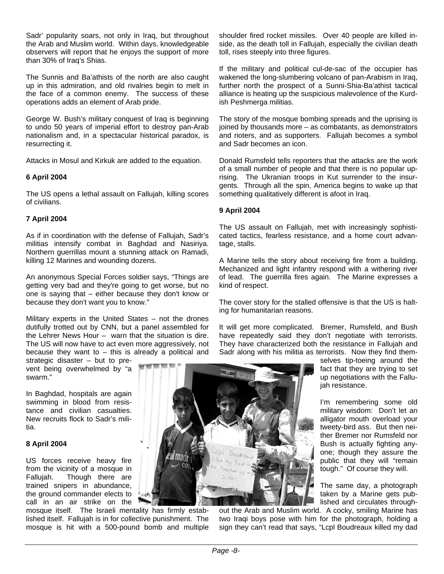Sadr' popularity soars, not only in Iraq, but throughout the Arab and Muslim world. Within days, knowledgeable observers will report that he enjoys the support of more than 30% of Iraq's Shias.

The Sunnis and Ba'athists of the north are also caught up in this admiration, and old rivalries begin to melt in the face of a common enemy. The success of these operations adds an element of Arab pride.

George W. Bush's military conquest of Iraq is beginning to undo 50 years of imperial effort to destroy pan-Arab nationalism and, in a spectacular historical paradox, is resurrecting it.

Attacks in Mosul and Kirkuk are added to the equation.

#### **6 April 2004**

The US opens a lethal assault on Fallujah, killing scores of civilians.

#### **7 April 2004**

As if in coordination with the defense of Fallujah, Sadr's militias intensify combat in Baghdad and Nasiriya. Northern guerrillas mount a stunning attack on Ramadi, killing 12 Marines and wounding dozens.

An anonymous Special Forces soldier says, "Things are getting very bad and they're going to get worse, but no one is saying that – either because they don't know or because they don't want you to know."

Military experts in the United States – not the drones dutifully trotted out by CNN, but a panel assembled for the Lehrer News Hour – warn that the situation is dire. The US will now have to act even more aggressively, not because they want to  $-$  this is already a political and

strategic disaster – but to prevent being overwhelmed by "a swarm."

In Baghdad, hospitals are again swimming in blood from resistance and civilian casualties. New recruits flock to Sadr's militia.

#### **8 April 2004**

US forces receive heavy fire from the vicinity of a mosque in Fallujah. Though there are trained snipers in abundance, the ground commander elects to call in an air strike on the

mosque itself. The Israeli men tality has firmly established itself. Fallujah is in for collective punishment. The mosque is hit with a 500-pound bomb and multiple shoulder fired rocket missiles. Over 40 people are killed inside, as the death toll in Fallujah, especially the civilian death toll, rises steeply into three figures.

If the military and political cul-de-sac of the occupier has wakened the long-slumbering volcano of pan-Arabism in Iraq, further north the prospect of a Sunni-Shia-Ba'athist tactical alliance is heating up the suspicious malevolence of the Kurdish Peshmerga militias.

The story of the mosque bombing spreads and the uprising is joined by thousands more – as combatants, as demonstrators and rioters, and as supporters. Fallujah becomes a symbol and Sadr becomes an icon.

Donald Rumsfeld tells reporters that the attacks are the work of a small number of people and that there is no popular uprising. The Ukranian troops in Kut surrender to the insurgents. Through all the spin, America begins to wake up that something qualitatively different is afoot in Iraq.

#### **9 April 2004**

The US assault on Fallujah, met with increasingly sophisticated tactics, fearless resistance, and a home court advantage, stalls.

A Marine tells the story about receiving fire from a building. Mechanized and light infantry respond with a withering river of lead. The guerrilla fires again. The Marine expresses a kind of respect.

The cover story for the stalled offensive is that the US is halting for humanitarian reasons.

It will get more complicated. Bremer, Rumsfeld, and Bush have repeatedly said they don't negotiate with terrorists. They have characterized both the resistance in Fallujah and Sadr along with his militia as terrorists. Now they find them-

selves tip-toeing around the fact that they are trying to set up negotiations with the Fallujah resistance.

I'm remembering some old military wisdom: Don't let an alligator mouth overload your tweety-bird ass. But then neither Bremer nor Rumsfeld nor Bush is actually fighting anyone; though they assure the public that they will "remain tough." Of course they will.

The same day, a photograph taken by a Marine gets published and circulates through-

out the Arab and Muslim world . A cocky, smiling Marine has two Iraqi boys pose with him for the photograph, holding a sign they can't read that says, "Lcpl Boudreaux killed my dad

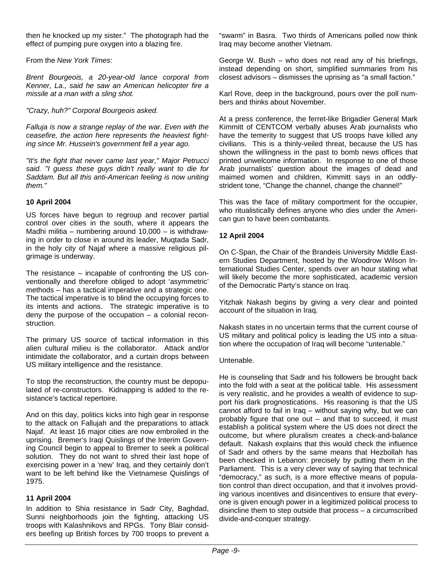then he knocked up my sister." The photograph had the effect of pumping pure oxygen into a blazing fire.

From the *New York Times*:

Brent Bourgeois, a 20-year-old lance corporal from *Kenner, La., said he saw an American helicopter fire a missile at a man with a sling shot.* 

"Crazy, huh?" Corporal Bourgeois asked.

Falluja is now a strange replay of the war. Even with the *ceasefire, the action here represents the heaviest fighting since Mr. Hussein's government fell a year ago.* 

"It's the fight that never came last year," Major Petrucci *said. "I guess these guys didn't really want to die for Saddam. But all this anti-American feeling is now uniting them."* 

#### **0 April 2004 1**

US forces have begun to regroup and recover partial control over cities in the south, where it appears the Madhi militia – numbering around 10,000 – is withdrawing in order to close in around its leader, Muqtada Sadr, in the holy city of Najaf where a massive religious pilgrimage is underway.

The resistance – incapable of confronting the US conventionally and therefore obliged to adopt 'asymmetric' methods – has a tactical imperative and a strategic one. The tactical imperative is to blind the occupying forces to its intents and actions. The strategic imperative is to deny the purpose of the occupation  $-$  a colonial reconstruction.

The primary US source of tactical information in this alien cultural milieu is the collaborator. Attack and/or intimidate the collaborator, and a curtain drops between US military intelligence and the resistance.

To stop the reconstruction, the country must be depopulated of re-constructors. Kidnapping is added to the resistance's tactical repertoire.

And on this day, politics kicks into high gear in response to the attack on Fallujah and the preparations to attack Najaf. At least 16 major cities are now embroiled in the uprising. Bremer's Iraqi Quislings of the Interim Governing Council begin to appeal to Bremer to seek a political solution. They do not want to shred their last hope of exercising power in a 'new' Iraq, and they certainly don't want to be left behind like the Vietnamese Quislings of 1975.

#### **1 April 2004 1**

In addition to Shia resistance in Sadr City, Baghdad, Sunni neighborhoods join the fighting, attacking US troops with Kalashnikovs and RPGs. Tony Blair considers beefing up British forces by 700 troops to prevent a

"swarm" in Basra. Two thirds of Americans polled now think Iraq may become another Vietnam.

George W. Bush – who does not read any of his briefings, instead depending on short, simplified summaries from his closest advisors – dismisses the uprising as "a small faction."

Karl Rove, deep in the background, pours over the poll numbers and thinks about November.

At a press conference, the ferret-like Brigadier General Mark Kimmitt of CENTCOM verbally abuses Arab journalists who have the temerity to suggest that US troops have killed any civilians. This is a thinly-veiled threat, because the US has shown the willingness in the past to bomb news offices that printed unwelcome information. In response to one of those Arab journalists' question about the images of dead and maimed women and children, Kimmitt says in an oddlystrident tone, "Change the channel, change the channel!"

This was the face of military comportment for the occupier, who ritualistically defines anyone who dies under the American gun to have been combatants.

#### **2 April 2004 1**

On C-Span, the Chair of the Brandeis University Middle Eastern Studies Department, hosted by the Woodrow Wilson International Studies Center, spends over an hour stating what will likely become the more sophisticated, academic version of the Democratic Party's stance on Iraq.

Yitzhak Nakash begins by giving a very clear and pointed account of the situation in Iraq.

Nakash states in no uncertain terms that the current course of US military and political policy is leading the US into a situation where the occupation of Iraq will become "untenable."

#### Untenable.

He is counseling that Sadr and his followers be brought back into the fold with a seat at the political table. His assessment is very realistic, and he provides a wealth of evidence to support his dark prognostications. His reasoning is that the US cannot afford to fail in Iraq – without saying why, but we can probably figure that one out – and that to succeed, it must establish a political system where the US does not direct the outcome, but where pluralism creates a check-and-balance default. Nakash explains that this would check the influence of Sadr and others by the same means that Hezbollah has been checked in Lebanon: precisely by putting them in the Parliament. This is a very clever way of saying that technical "democracy," as such, is a more effective means of population control than direct occupation, and that it involves providing various incentives and disincentives to ensure that everyone is given enough power in a legitimized political process to disincline them to step outside that process – a circumscribed divide-and-conquer strategy.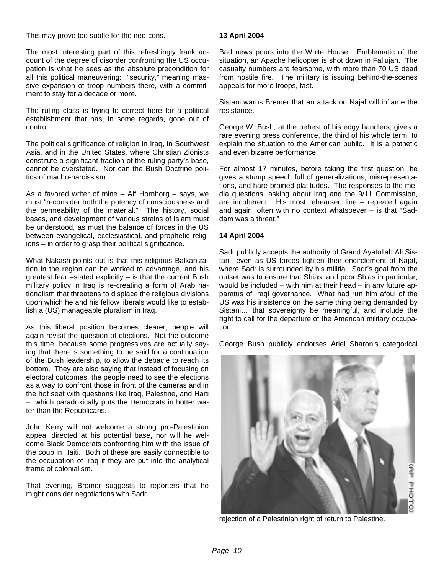T his may prove too subtle for the neo-cons.

The most interesting part of this refreshingly frank account of the degree of disorder confronting the US occupation is what he sees as the absolute precondition for all this political maneuvering: "security," meaning massive expansion of troop numbers there, with a commitment to stay for a decade or more.

The ruling class is trying to correct here for a political establishment that has, in some regards, gone out of control.

The political significance of religion in Iraq, in Southwest Asia, and in the United States, where Christian Zionists constitute a significant fraction of the ruling party's base, cannot be overstated. Nor can the Bush Doctrine politics of macho-narcissism.

As a favored writer of mine – Alf Hornborg – says, we must "reconsider both the potency of consciousness and the permeability of the material." The history, social bases, and development of various strains of Islam must be understood, as must the balance of forces in the US between evangelical, ecclesiastical, and prophetic religions – in order to grasp their political significance.

What Nakash points out is that this religious Balkanization in the region can be worked to advantage, and his greatest fear –stated explicitly – is that the current Bush military policy in Iraq is re-creating a form of Arab nationalism that threatens to displace the religious divisions upon which he and his fellow liberals would like to establish a (US) manageable pluralism in Iraq.

As this liberal position becomes clearer, people will again revisit the question of elections. Not the outcome this time, because some progressives are actually saying that there is something to be said for a continuation of the Bush leadership, to allow the debacle to reach its bottom. They are also saying that instead of focusing on electoral outcomes, the people need to see the elections as a way to confront those in front of the cameras and in the hot seat with questions like Iraq, Palestine, and Haiti – which paradoxically puts the Democrats in hotter water than the Republicans.

John Kerry will not welcome a strong pro-Palestinian appeal directed at his potential base, nor will he welcome Black Democrats confronting him with the issue of the coup in Haiti. Both of these are easily connectible to the occupation of Iraq if they are put into the analytical frame of colonialism.

That evening, Bremer suggests to reporters that he might consider negotiations with Sadr.

#### **3 April 2004 1**

Bad news pours into the White House. Emblematic of the situation, an Apache helicopter is shot down in Fallujah. The casualty numbers are fearsome, with more than 70 US dead from hostile fire. The military is issuing behind-the-scenes appeals for more troops, fast.

Sistani warns Bremer that an attack on Najaf will inflame the resistance.

George W. Bush, at the behest of his edgy handlers, gives a rare evening press conference, the third of his whole term, to explain the situation to the American public. It is a pathetic and even bizarre performance.

For almost 17 minutes, before taking the first question, he gives a stump speech full of generalizations, misrepresentations, and hare-brained platitudes. The responses to the media questions, asking about Iraq and the 9/11 Commission, are incoherent. His most rehearsed line – repeated again and again, often with no context whatsoever – is that "Saddam was a threat."

#### **4 April 2004 1**

Sadr publicly accepts the authority of Grand Ayatollah Ali Sistani, even as US forces tighten their encirclement of Najaf, where Sadr is surrounded by his militia. Sadr's goal from the outset was to ensure that Shias, and poor Shias in particular, would be included – with him at their head – in any future apparatus of Iraqi governance. What had run him afoul of the US was his insistence on the same thing being demanded by Sistani… that sovereignty be meaningful, and include the right to call for the departure of the American military occupation.

George Bush publicly endorses Ariel Sharon's categorical



rejection of a Palestinian right of return to Palestine.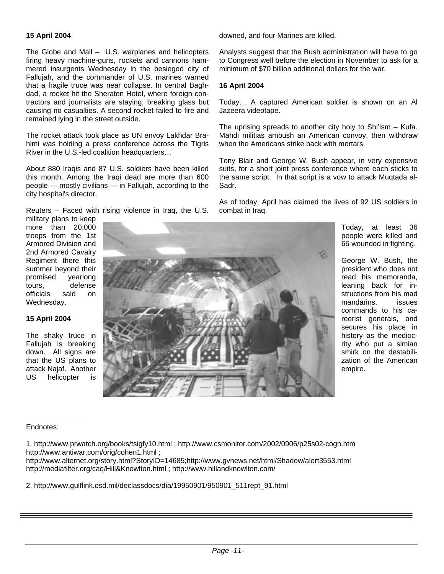#### **1 5 April 2004**

The Globe and Mail – U.S. warplanes and helicopters firing heavy machine-guns, rockets and cannons hammered insurgents Wednesday in the besieged city of Fallujah, and the commander of U.S. marines warned that a fragile truce was near collapse. In central Baghdad, a rocket hit the Sheraton Hotel, where foreign contractors and journalists are staying, breaking glass but causing no casualties. A second rocket failed to fire and remained lying in the street outside.

he rocket attack took place as UN envoy Lakhdar Bra-T himi was holding a press conference across the Tigris River in the U.S.-led coalition headquarters…

About 880 Iraqis and 87 U.S. soldiers have been killed this month. Among the Iraqi dead are more than 600 people — mostly civilians — in Fallujah, according to the city hospital's director.

Reuters – Faced with rising violence in Iraq, the U.S.

military plans to keep more than 20,000 troops from the 1st Armored Division and 2nd Armored Cavalry Regiment there this summer beyond their promised yearlong tours, defense officials said on Wednesday.

**5 April 2004 1**

The shaky truce in Fallujah is breaking down. All signs are that the US plans to attack Najaf. Another US helicopter is

downed, and four Marines are killed.

Analysts suggest that the Bush administration will have to go to Congress well before the election in November to ask for a minimum of \$70 billion additional dollars for the war.

#### **16 April 2004**

Today… A captured American soldier is shown on an Al Jazeera videotape.

The uprising spreads to another city holy to Shi'ism  $-$  Kufa. Mahdi militias ambush an American convoy, then withdraw when the Americans strike back with mortars.

Tony Blair and George W. Bush appear, in very expensive suits, for a short joint press conference where each sticks to the same script. In that script is a vow to attack Muqtada al-Sadr.

As of today, April has claimed the lives of 92 US soldiers in combat in Iraq.

> Today, at least 36 people were killed and 66 wounded in fighting.

George W. Bush, the president who does not read his memoranda, leaning back for instructions from his mad mandarins, issues commands to his careerist generals, and secures his place in history as the mediocrity who put a simian smirk on the destabilization of the American empire.

#### Endnotes:

1. http://www.prwatch.org/books/tsigfy10.html ; http://www.csmonitor.com/2002/0906/p25s02-cogn.htm http://www.antiwar.com/orig/cohen1.html ;

http://www.alternet.org/story.html?StoryID=14685;http://www.gvnews.net/html/Shadow/alert3553.html http://mediafilter.org/caq/Hill&Knowlton.html ; http://www.hillandknowlton.com/

2. http://www.gulflink.osd.mil/declassdocs/dia/19950901/950901\_511rept\_91.html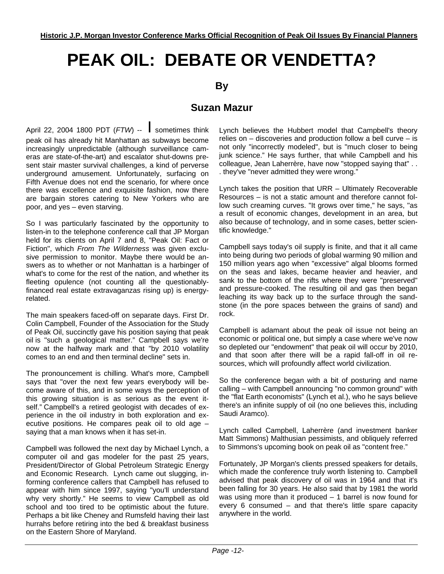## **PEAK OIL: DEBATE OR VENDETTA?**

**By** 

#### **Suzan Mazur**

April 22, 2004 1800 PDT (*FTW*) -- I sometimes think peak oil has already hit Manhattan as subways become increasingly unpredictable (although surveillance cameras are state-of-the-art) and escalator shut-downs present stair master survival challenges, a kind of perverse underground amusement. Unfortunately, surfacing on Fifth Avenue does not end the scenario, for where once there was excellence and exquisite fashion, now there are bargain stores catering to New Yorkers who are poor, and yes – even starving.

So I was particularly fascinated by the opportunity to listen-in to the telephone conference call that JP Morgan held for its clients on April 7 and 8, "Peak Oil: Fact or Fiction", which *From The Wilderness* was given exclusive permission to monitor. Maybe there would be answers as to whether or not Manhattan is a harbinger of what's to come for the rest of the nation, and whether its fleeting opulence (not counting all the questionablyfinanced real estate extravaganzas rising up) is energyrelated.

The main speakers faced-off on separate days. First Dr. Colin Campbell, Founder of the Association for the Study of Peak Oil, succinctly gave his position saying that peak oil is "such a geological matter." Campbell says we're now at the halfway mark and that "by 2010 volatility comes to an end and then terminal decline" sets in.

The pronouncement is chilling. What's more, Campbell says that "over the next few years everybody will become aware of this, and in some ways the perception of this growing situation is as serious as the event itself." Campbell's a retired geologist with decades of experience in the oil industry in both exploration and executive positions. He compares peak oil to old age – saying that a man knows when it has set-in.

Campbell was followed the next day by Michael Lynch, a computer oil and gas modeler for the past 25 years, President/Director of Global Petroleum Strategic Energy and Economic Research. Lynch came out slugging, informing conference callers that Campbell has refused to appear with him since 1997, saying "you'll understand why very shortly." He seems to view Campbell as old school and too tired to be optimistic about the future. Perhaps a bit like Cheney and Rumsfeld having their last hurrahs before retiring into the bed & breakfast business on the Eastern Shore of Maryland.

Lynch believes the Hubbert model that Campbell's theory relies on – discoveries and production follow a bell curve – is not only "incorrectly modeled", but is "much closer to being junk science." He says further, that while Campbell and his colleague, Jean Laherrère, have now "stopped saying that" . . . they've "never admitted they were wrong."

Lynch takes the position that URR – Ultimately Recoverable Resources – is not a static amount and therefore cannot follow such creaming curves. "It grows over time," he says, "as a result of economic changes, development in an area, but also because of technology, and in some cases, better scientific knowledge."

Campbell says today's oil supply is finite, and that it all came into being during two periods of global warming 90 million and 150 million years ago when "excessive" algal blooms formed on the seas and lakes, became heavier and heavier, and sank to the bottom of the rifts where they were "preserved" and pressure-cooked. The resulting oil and gas then began leaching its way back up to the surface through the sandstone (in the pore spaces between the grains of sand) and rock.

Campbell is adamant about the peak oil issue not being an economic or political one, but simply a case where we've now so depleted our "endowment" that peak oil will occur by 2010, and that soon after there will be a rapid fall-off in oil resources, which will profoundly affect world civilization.

So the conference began with a bit of posturing and name calling – with Campbell announcing "no common ground" with the "flat Earth economists" (Lynch et al.), who he says believe there's an infinite supply of oil (no one believes this, including Saudi Aramco).

Lynch called Campbell, Laherrère (and investment banker Matt Simmons) Malthusian pessimists, and obliquely referred to Simmons's upcoming book on peak oil as "content free."

Fortunately, JP Morgan's clients pressed speakers for details, which made the conference truly worth listening to. Campbell advised that peak discovery of oil was in 1964 and that it's been falling for 30 years. He also said that by 1981 the world was using more than it produced – 1 barrel is now found for every 6 consumed – and that there's little spare capacity anywhere in the world.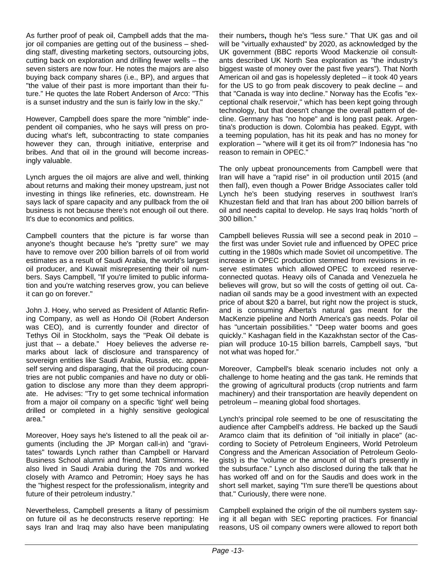As further proof of peak oil, Campbell adds that the major oil companies are getting out of the business – shedding staff, divesting marketing sectors, outsourcing jobs, cutting back on exploration and drilling fewer wells – the seven sisters are now four. He notes the majors are also buying back company shares (i.e., BP), and argues that "the value of their past is more important than their future." He quotes the late Robert Anderson of Arco: "This is a sunset industry and the sun is fairly low in the sky."

However, Campbell does spare the more "nimble" independent oil companies, who he says will press on producing what's left, subcontracting to state companies however they can, through initiative, enterprise and bribes. And that oil in the ground will become increasingly valuable.

Lynch argues the oil majors are alive and well, thinking about returns and making their money upstream, just not investing in things like refineries, etc. downstream. He says lack of spare capacity and any pullback from the oil business is not because there's not enough oil out there. It's due to economics and politics.

Campbell counters that the picture is far worse than anyone's thought because he's "pretty sure" we may have to remove over 200 billion barrels of oil from world estimates as a result of Saudi Arabia, the world's largest oil producer, and Kuwait misrepresenting their oil numbers. Says Campbell, "If you're limited to public information and you're watching reserves grow, you can believe it can go on forever."

John J. Hoey, who served as President of Atlantic Refining Company, as well as Hondo Oil (Robert Anderson was CEO), and is currently founder and director of Tethys Oil in Stockholm, says the "Peak Oil debate is just that -- a debate." Hoey believes the adverse remarks about lack of disclosure and transparency of sovereign entities like Saudi Arabia, Russia, etc. appear self serving and disparaging, that the oil producing countries are not public companies and have no duty or obligation to disclose any more than they deem appropriate. He advises: "Try to get some technical information from a major oil company on a specific 'tight' well being drilled or completed in a highly sensitive geological area."

Moreover, Hoey says he's listened to all the peak oil arguments (including the JP Morgan call-in) and "gravitates" towards Lynch rather than Campbell or Harvard Business School alumni and friend, Matt Simmons. He also lived in Saudi Arabia during the 70s and worked closely with Aramco and Petromin; Hoey says he has the "highest respect for the professionalism, integrity and future of their petroleum industry."

Nevertheless, Campbell presents a litany of pessimism on future oil as he deconstructs reserve reporting: He says Iran and Iraq may also have been manipulating their numbers**,** though he's "less sure." That UK gas and oil will be "virtually exhausted" by 2020, as acknowledged by the UK government (BBC reports Wood Mackenzie oil consultants described UK North Sea exploration as "the industry's biggest waste of money over the past five years"). That North American oil and gas is hopelessly depleted – it took 40 years for the US to go from peak discovery to peak decline – and that "Canada is way into decline." Norway has the Ecofis "exceptional chalk reservoir," which has been kept going through technology, but that doesn't change the overall pattern of decline. Germany has "no hope" and is long past peak. Argentina's production is down. Colombia has peaked. Egypt, with a teeming population, has hit its peak and has no money for exploration – "where will it get its oil from?" Indonesia has "no reason to remain in OPEC."

The only upbeat pronouncements from Campbell were that Iran will have a "rapid rise" in oil production until 2015 (and then fall), even though a Power Bridge Associates caller told Lynch he's been studying reserves in southwest Iran's Khuzestan field and that Iran has about 200 billion barrels of oil and needs capital to develop. He says Iraq holds "north of 300 billion."

Campbell believes Russia will see a second peak in 2010 – the first was under Soviet rule and influenced by OPEC price cutting in the 1980s which made Soviet oil uncompetitive. The increase in OPEC production stemmed from revisions in reserve estimates which allowed OPEC to exceed reserveconnected quotas. Heavy oils of Canada and Venezuela he believes will grow, but so will the costs of getting oil out. Canadian oil sands may be a good investment with an expected price of about \$20 a barrel, but right now the project is stuck, and is consuming Alberta's natural gas meant for the MacKenzie pipeline and North America's gas needs. Polar oil has "uncertain possibilities." "Deep water booms and goes quickly." Kashagan field in the Kazakhstan sector of the Caspian will produce 10-15 billion barrels, Campbell says, "but not what was hoped for."

Moreover, Campbell's bleak scenario includes not only a challenge to home heating and the gas tank. He reminds that the growing of agricultural products (crop nutrients and farm machinery) and their transportation are heavily dependent on petroleum – meaning global food shortages.

Lynch's principal role seemed to be one of resuscitating the audience after Campbell's address. He backed up the Saudi Aramco claim that its definition of "oil initially in place" (according to Society of Petroleum Engineers, World Petroleum Congress and the American Association of Petroleum Geologists) is the "volume or the amount of oil that's presently in the subsurface." Lynch also disclosed during the talk that he has worked off and on for the Saudis and does work in the short sell market, saying "I'm sure there'll be questions about that." Curiously, there were none.

Campbell explained the origin of the oil numbers system saying it all began with SEC reporting practices. For financial reasons, US oil company owners were allowed to report both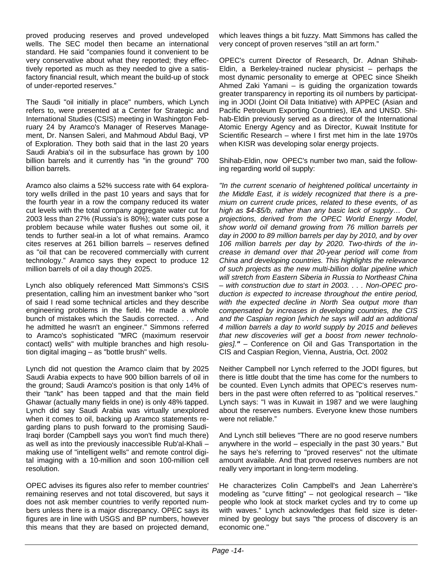proved producing reserves and proved undeveloped wells. The SEC model then became an international standard. He said "companies found it convenient to be very conservative about what they reported; they effectively reported as much as they needed to give a satisfactory financial result, which meant the build-up of stock of under-reported reserves."

The Saudi "oil initially in place" numbers, which Lynch refers to, were presented at a Center for Strategic and International Studies (CSIS) meeting in Washington February 24 by Aramco's Manager of Reserves Management, Dr. Nansen Saleri, and Mahmoud Abdul Baqi, VP of Exploration. They both said that in the last 20 years Saudi Arabia's oil in the subsurface has grown by 100 billion barrels and it currently has "in the ground" 700 billion barrels.

Aramco also claims a 52% success rate with 64 exploratory wells drilled in the past 10 years and says that for the fourth year in a row the company reduced its water cut levels with the total company aggregate water cut for 2003 less than 27% (Russia's is 80%); water cuts pose a problem because while water flushes out some oil, it tends to further seal-in a lot of what remains. Aramco cites reserves at 261 billion barrels – reserves defined as "oil that can be recovered commercially with current technology." Aramco says they expect to produce 12 million barrels of oil a day though 2025.

Lynch also obliquely referenced Matt Simmons's CSIS presentation, calling him an investment banker who "sort of said I read some technical articles and they describe engineering problems in the field. He made a whole bunch of mistakes which the Saudis corrected. . . . And he admitted he wasn't an engineer." Simmons referred to Aramco's sophisticated "MRC (maximum reservoir contact) wells" with multiple branches and high resolution digital imaging – as "bottle brush" wells.

Lynch did not question the Aramco claim that by 2025 Saudi Arabia expects to have 900 billion barrels of oil in the ground; Saudi Aramco's position is that only 14% of their "tank" has been tapped and that the main field Ghawar (actually many fields in one) is only 48% tapped. Lynch did say Saudi Arabia was virtually unexplored when it comes to oil, backing up Aramco statements regarding plans to push forward to the promising Saudi-Iraqi border (Campbell says you won't find much there) as well as into the previously inaccessible Rub'al-Khali – making use of "intelligent wells" and remote control digital imaging with a 10-million and soon 100-million cell resolution.

OPEC advises its figures also refer to member countries' remaining reserves and not total discovered, but says it does not ask member countries to verify reported numbers unless there is a major discrepancy. OPEC says its figures are in line with USGS and BP numbers, however this means that they are based on projected demand, which leaves things a bit fuzzy. Matt Simmons has called the very concept of proven reserves "still an art form."

OPEC's current Director of Research, Dr. Adnan Shihab-Eldin, a Berkeley-trained nuclear physicist – perhaps the most dynamic personality to emerge at OPEC since Sheikh Ahmed Zaki Yamani – is guiding the organization towards greater transparency in reporting its oil numbers by participating in JODI (Joint Oil Data Initiative) with APPEC (Asian and Pacific Petroleum Exporting Countries), IEA and UNSD. Shihab-Eldin previously served as a director of the International Atomic Energy Agency and as Director, Kuwait Institute for Scientific Research – where I first met him in the late 1970s when KISR was developing solar energy projects.

Shihab-Eldin, now OPEC's number two man, said the following regarding world oil supply:

*"In the current scenario of heightened political uncertainty in the Middle East, it is widely recognized that there is a premium on current crude prices, related to these events, of as high as \$4-\$5/b, rather than any basic lack of supply… Our projections, derived from the OPEC World Energy Model, show world oil demand growing from 76 million barrels per day in 2000 to 89 million barrels per day by 2010, and by over 106 million barrels per day by 2020. Two-thirds of the increase in demand over that 20-year period will come from China and developing countries. This highlights the relevance of such projects as the new multi-billion dollar pipeline which will stretch from Eastern Siberia in Russia to Northeast China – with construction due to start in 2003. . . . Non-OPEC production is expected to increase throughout the entire period, with the expected decline in North Sea output more than compensated by increases in developing countries, the CIS and the Caspian region [which he says will add an additional 4 million barrels a day to world supply by 2015 and believes that new discoveries will get a boost from newer technologies]."* – Conference on Oil and Gas Transportation in the CIS and Caspian Region, Vienna, Austria, Oct. 2002

Neither Campbell nor Lynch referred to the JODI figures, but there is little doubt that the time has come for the numbers to be counted. Even Lynch admits that OPEC's reserves numbers in the past were often referred to as "political reserves." Lynch says: "I was in Kuwait in 1987 and we were laughing about the reserves numbers. Everyone knew those numbers were not reliable."

And Lynch still believes "There are no good reserve numbers anywhere in the world – especially in the past 30 years." But he says he's referring to "proved reserves" not the ultimate amount available. And that proved reserves numbers are not really very important in long-term modeling.

He characterizes Colin Campbell's and Jean Laherrère's modeling as "curve fitting" – not geological research – "like people who look at stock market cycles and try to come up with waves." Lynch acknowledges that field size is determined by geology but says "the process of discovery is an economic one."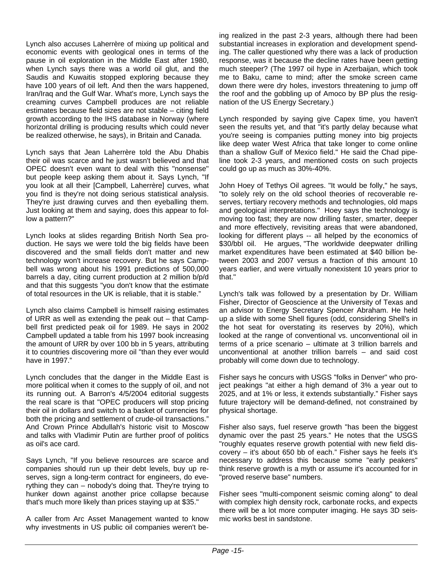Lynch also accuses Laherrère of mixing up political and economic events with geological ones in terms of the pause in oil exploration in the Middle East after 1980, when Lynch says there was a world oil glut, and the Saudis and Kuwaitis stopped exploring because they have 100 years of oil left. And then the wars happened, Iran/Iraq and the Gulf War. What's more, Lynch says the creaming curves Campbell produces are not reliable estimates because field sizes are not stable – citing field growth according to the IHS database in Norway (where horizontal drilling is producing results which could never be realized otherwise, he says), in Britain and Canada.

Lynch says that Jean Laherrère told the Abu Dhabis their oil was scarce and he just wasn't believed and that OPEC doesn't even want to deal with this "nonsense" but people keep asking them about it. Says Lynch, "If you look at all their [Campbell, Laherrère] curves, what you find is they're not doing serious statistical analysis. They're just drawing curves and then eyeballing them. Just looking at them and saying, does this appear to follow a pattern?"

Lynch looks at slides regarding British North Sea production. He says we were told the big fields have been discovered and the small fields don't matter and new technology won't increase recovery. But he says Campbell was wrong about his 1991 predictions of 500,000 barrels a day, citing current production at 2 million b/p/d and that this suggests "you don't know that the estimate of total resources in the UK is reliable, that it is stable."

Lynch also claims Campbell is himself raising estimates of URR as well as extending the peak out – that Campbell first predicted peak oil for 1989. He says in 2002 Campbell updated a table from his 1997 book increasing the amount of URR by over 100 bb in 5 years, attributing it to countries discovering more oil "than they ever would have in 1997."

Lynch concludes that the danger in the Middle East is more political when it comes to the supply of oil, and not its running out. A Barron's 4/5/2004 editorial suggests the real scare is that "OPEC producers will stop pricing their oil in dollars and switch to a basket of currencies for both the pricing and settlement of crude-oil transactions." And Crown Prince Abdullah's historic visit to Moscow and talks with Vladimir Putin are further proof of politics as oil's ace card.

Says Lynch, "If you believe resources are scarce and companies should run up their debt levels, buy up reserves, sign a long-term contract for engineers, do everything they can – nobody's doing that. They're trying to hunker down against another price collapse because that's much more likely than prices staying up at \$35."

A caller from Arc Asset Management wanted to know why investments in US public oil companies weren't being realized in the past 2-3 years, although there had been substantial increases in exploration and development spending. The caller questioned why there was a lack of production response, was it because the decline rates have been getting much steeper? (The 1997 oil hype in Azerbaijan, which took me to Baku, came to mind; after the smoke screen came down there were dry holes, investors threatening to jump off the roof and the gobbling up of Amoco by BP plus the resignation of the US Energy Secretary.)

Lynch responded by saying give Capex time, you haven't seen the results yet, and that "it's partly delay because what you're seeing is companies putting money into big projects like deep water West Africa that take longer to come online than a shallow Gulf of Mexico field." He said the Chad pipeline took 2-3 years, and mentioned costs on such projects could go up as much as 30%-40%.

John Hoey of Tethys Oil agrees. "It would be folly," he says, "to solely rely on the old school theories of recoverable reserves, tertiary recovery methods and technologies, old maps and geological interpretations." Hoey says the technology is moving too fast; they are now drilling faster, smarter, deeper and more effectively, revisiting areas that were abandoned, looking for different plays -- all helped by the economics of \$30/bbl oil. He argues, "The worldwide deepwater drilling market expenditures have been estimated at \$40 billion between 2003 and 2007 versus a fraction of this amount 10 years earlier, and were virtually nonexistent 10 years prior to that."

Lynch's talk was followed by a presentation by Dr. William Fisher, Director of Geoscience at the University of Texas and an advisor to Energy Secretary Spencer Abraham. He held up a slide with some Shell figures (odd, considering Shell's in the hot seat for overstating its reserves by 20%), which looked at the range of conventional vs. unconventional oil in terms of a price scenario – ultimate at 3 trillion barrels and unconventional at another trillion barrels – and said cost probably will come down due to technology.

Fisher says he concurs with USGS "folks in Denver" who project peakings "at either a high demand of 3% a year out to 2025, and at 1% or less, it extends substantially." Fisher says future trajectory will be demand-defined, not constrained by physical shortage.

Fisher also says, fuel reserve growth "has been the biggest dynamic over the past 25 years." He notes that the USGS "roughly equates reserve growth potential with new field discovery – it's about 650 bb of each." Fisher says he feels it's necessary to address this because some "early peakers" think reserve growth is a myth or assume it's accounted for in "proved reserve base" numbers.

Fisher sees "multi-component seismic coming along" to deal with complex high density rock, carbonate rocks, and expects there will be a lot more computer imaging. He says 3D seismic works best in sandstone.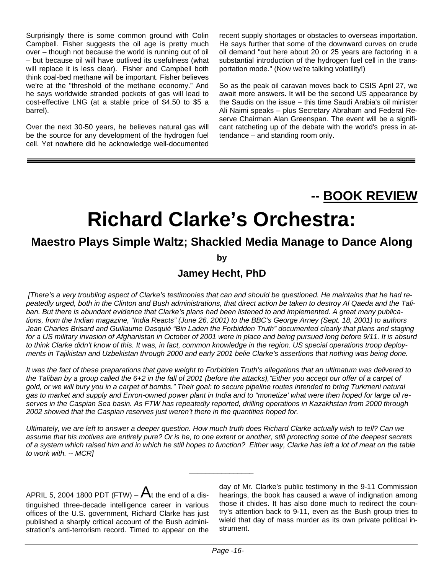Surprisingly there is some common ground with Colin Campbell. Fisher suggests the oil age is pretty much over – though not because the world is running out of oil – but because oil will have outlived its usefulness (what will replace it is less clear). Fisher and Campbell both think coal-bed methane will be important. Fisher believes we're at the "threshold of the methane economy." And he says worldwide stranded pockets of gas will lead to cost-effective LNG (at a stable price of \$4.50 to \$5 a barrel).

Over the next 30-50 years, he believes natural gas will be the source for any development of the hydrogen fuel cell. Yet nowhere did he acknowledge well-documented recent supply shortages or obstacles to overseas importation. He says further that some of the downward curves on crude oil demand "out here about 20 or 25 years are factoring in a substantial introduction of the hydrogen fuel cell in the transportation mode." (Now we're talking volatility!)

So as the peak oil caravan moves back to CSIS April 27, we await more answers. It will be the second US appearance by the Saudis on the issue – this time Saudi Arabia's oil minister Ali Naimi speaks – plus Secretary Abraham and Federal Reserve Chairman Alan Greenspan. The event will be a significant ratcheting up of the debate with the world's press in attendance – and standing room only.

### **-- BOOK REVIEW**

## **Richard Clarke's Orchestra:**

### **Maestro Plays Simple Waltz; Shackled Media Manage to Dance Along**

**by**

#### **Jamey Hecht, PhD**

 *[There's a very troubling aspect of Clarke's testimonies that can and should be questioned. He maintains that he had repeatedly urged, both in the Clinton and Bush administrations, that direct action be taken to destroy Al Qaeda and the Taliban. But there is abundant evidence that Clarke's plans had been listened to and implemented. A great many publications, from the Indian magazine, "India Reacts" (June 26, 2001) to the BBC's George Arney (Sept. 18, 2001) to authors Jean Charles Brisard and Guillaume Dasquié "Bin Laden the Forbidden Truth" documented clearly that plans and staging for a US military invasion of Afghanistan in October of 2001 were in place and being pursued long before 9/11. It is absurd to think Clarke didn't know of this. It was, in fact, common knowledge in the region. US special operations troop deployments in Tajikistan and Uzbekistan through 2000 and early 2001 belie Clarke's assertions that nothing was being done.* 

*It was the fact of these preparations that gave weight to Forbidden Truth's allegations that an ultimatum was delivered to* the Taliban by a group called the 6+2 in the fall of 2001 (before the attacks),"Either you accept our offer of a carpet of *gold, or we will bury you in a carpet of bombs." Their goal: to secure pipeline routes intended to bring Turkmeni natural gas to market and supply and Enron-owned power plant in India and to "monetize' what were then hoped for large oil reserves in the Caspian Sea basin. As FTW has repeatedly reported, drilling operations in Kazakhstan from 2000 through 2002 showed that the Caspian reserves just weren't there in the quantities hoped for.* 

*Ultimately, we are left to answer a deeper question. How much truth does Richard Clarke actually wish to tell? Can we assume that his motives are entirely pure? Or is he, to one extent or another, still protecting some of the deepest secrets of a system which raised him and in which he still hopes to function? Either way, Clarke has left a lot of meat on the table to work with. -- MCR]* 

*\_\_\_\_\_\_\_\_\_\_\_\_\_\_\_\_* 

APRIL 5, 2004 1800 PDT (FTW) –  $A_t$  the end of a distinguished three-decade intelligence career in various offices of the U.S. government, Richard Clarke has just published a sharply critical account of the Bush administration's anti-terrorism record. Timed to appear on the day of Mr. Clarke's public testimony in the 9-11 Commission hearings, the book has caused a wave of indignation among those it chides. It has also done much to redirect the country's attention back to 9-11, even as the Bush group tries to wield that day of mass murder as its own private political instrument.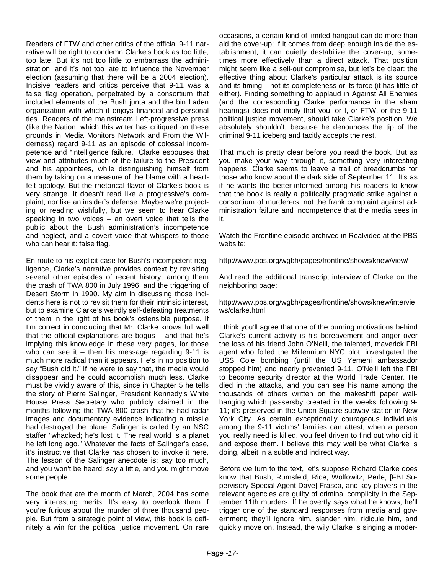Readers of FTW and other critics of the official 9-11 narrative will be right to condemn Clarke's book as too little, too late. But it's not too little to embarrass the administration, and it's not too late to influence the November election (assuming that there will be a 2004 election). Incisive readers and critics perceive that 9-11 was a false flag operation, perpetrated by a consortium that included elements of the Bush junta and the bin Laden organization with which it enjoys financial and personal ties. Readers of the mainstream Left-progressive press (like the Nation, which this writer has critiqued on these grounds in Media Monitors Network and From the Wilderness) regard 9-11 as an episode of colossal incompetence and "intelligence failure." Clarke espouses that view and attributes much of the failure to the President and his appointees, while distinguishing himself from them by taking on a measure of the blame with a heartfelt apology. But the rhetorical flavor of Clarke's book is very strange. It doesn't read like a progressive's complaint, nor like an insider's defense. Maybe we're projecting or reading wishfully, but we seem to hear Clarke speaking in two voices – an overt voice that tells the public about the Bush administration's incompetence and neglect, and a covert voice that whispers to those who can hear it: false flag.

En route to his explicit case for Bush's incompetent negligence, Clarke's narrative provides context by revisiting several other episodes of recent history, among them the crash of TWA 800 in July 1996, and the triggering of Desert Storm in 1990. My aim in discussing those incidents here is not to revisit them for their intrinsic interest, but to examine Clarke's weirdly self-defeating treatments of them in the light of his book's ostensible purpose. If I'm correct in concluding that Mr. Clarke knows full well that the official explanations are bogus – and that he's implying this knowledge in these very pages, for those who can see it  $-$  then his message regarding 9-11 is much more radical than it appears. He's in no position to say "Bush did it." If he were to say that, the media would disappear and he could accomplish much less. Clarke must be vividly aware of this, since in Chapter 5 he tells the story of Pierre Salinger, President Kennedy's White House Press Secretary who publicly claimed in the months following the TWA 800 crash that he had radar images and documentary evidence indicating a missile had destroyed the plane. Salinger is called by an NSC staffer "whacked; he's lost it. The real world is a planet he left long ago." Whatever the facts of Salinger's case, it's instructive that Clarke has chosen to invoke it here. The lesson of the Salinger anecdote is: say too much, and you won't be heard; say a little, and you might move some people.

The book that ate the month of March, 2004 has some very interesting merits. It's easy to overlook them if you're furious about the murder of three thousand people. But from a strategic point of view, this book is definitely a win for the political justice movement. On rare occasions, a certain kind of limited hangout can do more than aid the cover-up; if it comes from deep enough inside the establishment, it can quietly destabilize the cover-up, sometimes more effectively than a direct attack. That position might seem like a sell-out compromise, but let's be clear: the effective thing about Clarke's particular attack is its source and its timing – not its completeness or its force (it has little of either). Finding something to applaud in Against All Enemies (and the corresponding Clarke performance in the sham hearings) does not imply that you, or I, or FTW, or the 9-11 political justice movement, should take Clarke's position. We absolutely shouldn't, because he denounces the tip of the criminal 9-11 iceberg and tacitly accepts the rest.

That much is pretty clear before you read the book. But as you make your way through it, something very interesting happens. Clarke seems to leave a trail of breadcrumbs for those who know about the dark side of September 11. It's as if he wants the better-informed among his readers to know that the book is really a politically pragmatic strike against a consortium of murderers, not the frank complaint against administration failure and incompetence that the media sees in it.

Watch the Frontline episode archived in Realvideo at the PBS website:

http://www.pbs.org/wgbh/pages/frontline/shows/knew/view/

And read the additional transcript interview of Clarke on the neighboring page:

http://www.pbs.org/wgbh/pages/frontline/shows/knew/intervie ws/clarke.html

I think you'll agree that one of the burning motivations behind Clarke's current activity is his bereavement and anger over the loss of his friend John O'Neill, the talented, maverick FBI agent who foiled the Millennium NYC plot, investigated the USS Cole bombing (until the US Yemeni ambassador stopped him) and nearly prevented 9-11. O'Neill left the FBI to become security director at the World Trade Center. He died in the attacks, and you can see his name among the thousands of others written on the makeshift paper wallhanging which passersby created in the weeks following 9- 11; it's preserved in the Union Square subway station in New York City. As certain exceptionally courageous individuals among the 9-11 victims' families can attest, when a person you really need is killed, you feel driven to find out who did it and expose them. I believe this may well be what Clarke is doing, albeit in a subtle and indirect way.

Before we turn to the text, let's suppose Richard Clarke does know that Bush, Rumsfeld, Rice, Wolfowitz, Perle, [FBI Supervisory Special Agent Dave] Frasca, and key players in the relevant agencies are guilty of criminal complicity in the September 11th murders. If he overtly says what he knows, he'll trigger one of the standard responses from media and government; they'll ignore him, slander him, ridicule him, and quickly move on. Instead, the wily Clarke is singing a moder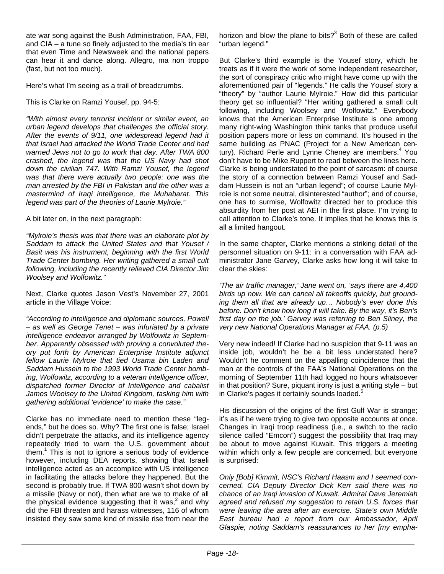ate war song against the Bush Administration, FAA, FBI, and CIA – a tune so finely adjusted to the media's tin ear that even Time and Newsweek and the national papers can hear it and dance along. Allegro, ma non troppo (fast, but not too much).

Here's what I'm seeing as a trail of breadcrumbs.

This is Clarke on Ramzi Yousef, pp. 94-5:

*"With almost every terrorist incident or similar event, an urban legend develops that challenges the official story. After the events of 9/11, one widespread legend had it that Israel had attacked the World Trade Center and had warned Jews not to go to work that day. After TWA 800 crashed, the legend was that the US Navy had shot down the civilian 747. With Ramzi Yousef, the legend was that there were actually two people: one was the man arrested by the FBI in Pakistan and the other was a mastermind of Iraqi intelligence, the Muhabarat. This legend was part of the theories of Laurie Mylroie."* 

A bit later on, in the next paragraph:

*"Mylroie's thesis was that there was an elaborate plot by Saddam to attack the United States and that Yousef / Basit was his instrument, beginning with the first World Trade Center bombing. Her writing gathered a small cult following, including the recently relieved CIA Director Jim Woolsey and Wolfowitz."* 

Next, Clarke quotes Jason Vest's November 27, 2001 article in the Village Voice:

*"According to intelligence and diplomatic sources, Powell – as well as George Tenet – was infuriated by a private intelligence endeavor arranged by Wolfowitz in September. Apparently obsessed with proving a convoluted theory put forth by American Enterprise Institute adjunct fellow Laurie Mylroie that tied Usama bin Laden and Saddam Hussein to the 1993 World Trade Center bombing, Wolfowitz, according to a veteran intelligence officer, dispatched former Director of Intelligence and cabalist James Woolsey to the United Kingdom, tasking him with gathering additional 'evidence' to make the case."* 

Clarke has no immediate need to mention these "legends," but he does so. Why? The first one is false; Israel didn't perpetrate the attacks, and its intelligence agency repeatedly tried to warn the U.S. government about them.<sup>1</sup> This is not to ignore a serious body of evidence however, including DEA reports, showing that Israeli intelligence acted as an accomplice with US intelligence in facilitating the attacks before they happened. But the second is probably true. If TWA 800 wasn't shot down by a missile (Navy or not), then what are we to make of all the physical evidence suggesting that it was, $^2$  and why did the FBI threaten and harass witnesses, 116 of whom insisted they saw some kind of missile rise from near the

horizon and blow the plane to bits? $3$  Both of these are called "urban legend."

But Clarke's third example is the Yousef story, which he treats as if it were the work of some independent researcher, the sort of conspiracy critic who might have come up with the aforementioned pair of "legends." He calls the Yousef story a "theory" by "author Laurie Mylroie." How did this particular theory get so influential? "Her writing gathered a small cult following, including Woolsey and Wolfowitz." Everybody knows that the American Enterprise Institute is one among many right-wing Washington think tanks that produce useful position papers more or less on command. It's housed in the same building as PNAC (Project for a New American century). Richard Perle and Lynne Cheney are members.<sup>4</sup> You don't have to be Mike Ruppert to read between the lines here. Clarke is being understated to the point of sarcasm: of course the story of a connection between Ramzi Yousef and Saddam Hussein is not an "urban legend"; of course Laurie Mylroie is not some neutral, disinterested "author"; and of course, one has to surmise, Wolfowitz directed her to produce this absurdity from her post at AEI in the first place. I'm trying to call attention to Clarke's tone. It implies that he knows this is all a limited hangout.

In the same chapter, Clarke mentions a striking detail of the personnel situation on 9-11: in a conversation with FAA administrator Jane Garvey, Clarke asks how long it will take to clear the skies:

*'The air traffic manager,' Jane went on, 'says there are 4,400 birds up now. We can cancel all takeoffs quickly, but grounding them all that are already up… Nobody's ever done this before. Don't know how long it will take. By the way, it's Ben's first day on the job.' Garvey was referring to Ben Sliney, the very new National Operations Manager at FAA. (p.5)* 

Very new indeed! If Clarke had no suspicion that 9-11 was an inside job, wouldn't he be a bit less understated here? Wouldn't he comment on the appalling coincidence that the man at the controls of the FAA's National Operations on the morning of September 11th had logged no hours whatsoever in that position? Sure, piquant irony is just a writing style – but in Clarke's pages it certainly sounds loaded.<sup>5</sup>

His discussion of the origins of the first Gulf War is strange; it's as if he were trying to give two opposite accounts at once. Changes in Iraqi troop readiness (i.e., a switch to the radio silence called "Emcon") suggest the possibility that Iraq may be about to move against Kuwait. This triggers a meeting within which only a few people are concerned, but everyone is surprised:

*Only [Bob] Kimmit, NSC's Richard Haasm and I seemed concerned. CIA Deputy Director Dick Kerr said there was no chance of an Iraqi invasion of Kuwait. Admiral Dave Jeremiah agreed and refused my suggestion to retain U.S. forces that were leaving the area after an exercise. State's own Middle East bureau had a report from our Ambassador, April Glaspie, noting Saddam's reassurances to her [my empha-*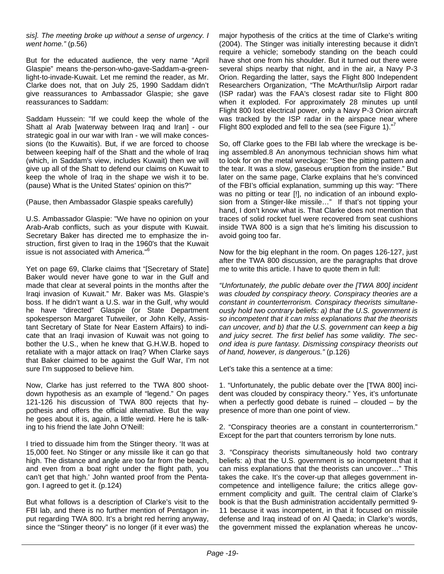*sis]. The meeting broke up without a sense of urgency. I went home."* (p.56)

But for the educated audience, the very name "April Glaspie" means the-person-who-gave-Saddam-a-greenlight-to-invade-Kuwait. Let me remind the reader, as Mr. Clarke does not, that on July 25, 1990 Saddam didn't give reassurances to Ambassador Glaspie; she gave reassurances to Saddam:

Saddam Hussein: "If we could keep the whole of the Shatt al Arab [waterway between Iraq and Iran] - our strategic goal in our war with Iran - we will make concessions (to the Kuwaitis). But, if we are forced to choose between keeping half of the Shatt and the whole of Iraq (which, in Saddam's view, includes Kuwait) then we will give up all of the Shatt to defend our claims on Kuwait to keep the whole of Iraq in the shape we wish it to be. (pause) What is the United States' opinion on this?"

(Pause, then Ambassador Glaspie speaks carefully)

U.S. Ambassador Glaspie: "We have no opinion on your Arab-Arab conflicts, such as your dispute with Kuwait. Secretary Baker has directed me to emphasize the instruction, first given to Iraq in the 1960's that the Kuwait issue is not associated with America."<sup>6</sup>

Yet on page 69, Clarke claims that "[Secretary of State] Baker would never have gone to war in the Gulf and made that clear at several points in the months after the Iraqi invasion of Kuwait." Mr. Baker was Ms. Glaspie's boss. If he didn't want a U.S. war in the Gulf, why would he have "directed" Glaspie (or State Department spokesperson Margaret Tutweiler, or John Kelly, Assistant Secretary of State for Near Eastern Affairs) to indicate that an Iraqi invasion of Kuwait was not going to bother the U.S., when he knew that G.H.W.B. hoped to retaliate with a major attack on Iraq? When Clarke says that Baker claimed to be against the Gulf War, I'm not sure I'm supposed to believe him.

Now, Clarke has just referred to the TWA 800 shootdown hypothesis as an example of "legend." On pages 121-126 his discussion of TWA 800 rejects that hypothesis and offers the official alternative. But the way he goes about it is, again, a little weird. Here he is talking to his friend the late John O'Neill:

I tried to dissuade him from the Stinger theory. 'It was at 15,000 feet. No Stinger or any missile like it can go that high. The distance and angle are too far from the beach, and even from a boat right under the flight path, you can't get that high.' John wanted proof from the Pentagon. I agreed to get it. (p.124)

But what follows is a description of Clarke's visit to the FBI lab, and there is no further mention of Pentagon input regarding TWA 800. It's a bright red herring anyway, since the "Stinger theory" is no longer (if it ever was) the major hypothesis of the critics at the time of Clarke's writing (2004). The Stinger was initially interesting because it didn't require a vehicle; somebody standing on the beach could have shot one from his shoulder. But it turned out there were several ships nearby that night, and in the air, a Navy P-3 Orion. Regarding the latter, says the Flight 800 Independent Researchers Organization, "The McArthur/Islip Airport radar (ISP radar) was the FAA's closest radar site to Flight 800 when it exploded. For approximately 28 minutes up until Flight 800 lost electrical power, only a Navy P-3 Orion aircraft was tracked by the ISP radar in the airspace near where Flight 800 exploded and fell to the sea (see Figure 1). $n^7$ 

So, off Clarke goes to the FBI lab where the wreckage is being assembled.8 An anonymous technician shows him what to look for on the metal wreckage: "See the pitting pattern and the tear. It was a slow, gaseous eruption from the inside." But later on the same page, Clarke explains that he's convinced of the FBI's official explanation, summing up this way: "There was no pitting or tear [!], no indication of an inbound explosion from a Stinger-like missile…" If that's not tipping your hand, I don't know what is. That Clarke does not mention that traces of solid rocket fuel were recovered from seat cushions inside TWA 800 is a sign that he's limiting his discussion to avoid going too far.

Now for the big elephant in the room. On pages 126-127, just after the TWA 800 discussion, are the paragraphs that drove me to write this article. I have to quote them in full:

*"Unfortunately, the public debate over the [TWA 800] incident was clouded by conspiracy theory. Conspiracy theories are a constant in counterterrorism. Conspiracy theorists simultaneously hold two contrary beliefs: a) that the U.S. government is so incompetent that it can miss explanations that the theorists can uncover, and b) that the U.S. government can keep a big and juicy secret. The first belief has some validity. The second idea is pure fantasy. Dismissing conspiracy theorists out of hand, however, is dangerous."* (p.126)

Let's take this a sentence at a time:

1. "Unfortunately, the public debate over the [TWA 800] incident was clouded by conspiracy theory." Yes, it's unfortunate when a perfectly good debate is ruined  $-$  clouded  $-$  by the presence of more than one point of view.

2. "Conspiracy theories are a constant in counterterrorism." Except for the part that counters terrorism by lone nuts.

3. "Conspiracy theorists simultaneously hold two contrary beliefs: a) that the U.S. government is so incompetent that it can miss explanations that the theorists can uncover…" This takes the cake. It's the cover-up that alleges government incompetence and intelligence failure; the critics allege government complicity and guilt. The central claim of Clarke's book is that the Bush administration accidentally permitted 9- 11 because it was incompetent, in that it focused on missile defense and Iraq instead of on Al Qaeda; in Clarke's words, the government missed the explanation whereas he uncov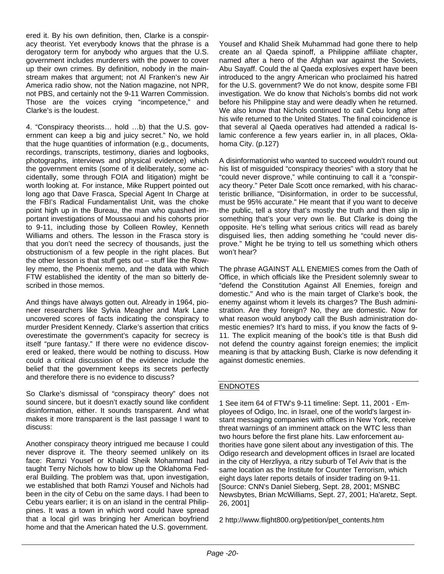ered it. By his own definition, then, Clarke is a conspiracy theorist. Yet everybody knows that the phrase is a derogatory term for anybody who argues that the U.S. government includes murderers with the power to cover up their own crimes. By definition, nobody in the mainstream makes that argument; not Al Franken's new Air America radio show, not the Nation magazine, not NPR, not PBS, and certainly not the 9-11 Warren Commission. Those are the voices crying "incompetence," and Clarke's is the loudest.

4. "Conspiracy theorists… hold …b) that the U.S. government can keep a big and juicy secret." No, we hold that the huge quantities of information (e.g., documents, recordings, transcripts, testimony, diaries and logbooks, photographs, interviews and physical evidence) which the government emits (some of it deliberately, some accidentally, some through FOIA and litigation) might be worth looking at. For instance, Mike Ruppert pointed out long ago that Dave Frasca, Special Agent In Charge at the FBI's Radical Fundamentalist Unit, was the choke point high up in the Bureau, the man who quashed important investigations of Moussaoui and his cohorts prior to 9-11, including those by Colleen Rowley, Kenneth Williams and others. The lesson in the Frasca story is that you don't need the secrecy of thousands, just the obstructionism of a few people in the right places. But the other lesson is that stuff gets out – stuff like the Rowley memo, the Phoenix memo, and the data with which FTW established the identity of the man so bitterly described in those memos.

And things have always gotten out. Already in 1964, pioneer researchers like Sylvia Meagher and Mark Lane uncovered scores of facts indicating the conspiracy to murder President Kennedy. Clarke's assertion that critics overestimate the government's capacity for secrecy is itself "pure fantasy." If there were no evidence discovered or leaked, there would be nothing to discuss. How could a critical discussion of the evidence include the belief that the government keeps its secrets perfectly and therefore there is no evidence to discuss?

So Clarke's dismissal of "conspiracy theory" does not sound sincere, but it doesn't exactly sound like confident disinformation, either. It sounds transparent. And what makes it more transparent is the last passage I want to discuss:

Another conspiracy theory intrigued me because I could never disprove it. The theory seemed unlikely on its face: Ramzi Yousef or Khalid Sheik Mohammad had taught Terry Nichols how to blow up the Oklahoma Federal Building. The problem was that, upon investigation, we established that both Ramzi Yousef and Nichols had been in the city of Cebu on the same days. I had been to Cebu years earlier; it is on an island in the central Philippines. It was a town in which word could have spread that a local girl was bringing her American boyfriend home and that the American hated the U.S. government.

Yousef and Khalid Sheik Muhammad had gone there to help create an al Qaeda spinoff, a Philippine affiliate chapter, named after a hero of the Afghan war against the Soviets, Abu Sayaff. Could the al Qaeda explosives expert have been introduced to the angry American who proclaimed his hatred for the U.S. government? We do not know, despite some FBI investigation. We do know that Nichols's bombs did not work before his Philippine stay and were deadly when he returned. We also know that Nichols continued to call Cebu long after his wife returned to the United States. The final coincidence is that several al Qaeda operatives had attended a radical Islamic conference a few years earlier in, in all places, Oklahoma City. (p.127)

A disinformationist who wanted to succeed wouldn't round out his list of misguided "conspiracy theories" with a story that he "could never disprove," while continuing to call it a "conspiracy theory." Peter Dale Scott once remarked, with his characteristic brilliance, "Disinformation, in order to be successful, must be 95% accurate." He meant that if you want to deceive the public, tell a story that's mostly the truth and then slip in something that's your very own lie. But Clarke is doing the opposite. He's telling what serious critics will read as barely disguised lies, then adding something he "could never disprove." Might he be trying to tell us something which others won't hear?

The phrase AGAINST ALL ENEMIES comes from the Oath of Office, in which officials like the President solemnly swear to "defend the Constitution Against All Enemies, foreign and domestic." And who is the main target of Clarke's book, the enemy against whom it levels its charges? The Bush administration. Are they foreign? No, they are domestic. Now for what reason would anybody call the Bush administration domestic enemies? It's hard to miss, if you know the facts of 9- 11. The explicit meaning of the book's title is that Bush did not defend the country against foreign enemies; the implicit meaning is that by attacking Bush, Clarke is now defending it against domestic enemies.

#### ENDNOTES

1 See item 64 of FTW's 9-11 timeline: Sept. 11, 2001 - Employees of Odigo, Inc. in Israel, one of the world's largest instant messaging companies with offices in New York, receive threat warnings of an imminent attack on the WTC less than two hours before the first plane hits. Law enforcement authorities have gone silent about any investigation of this. The Odigo research and development offices in Israel are located in the city of Herzliyya, a ritzy suburb of Tel Aviv that is the same location as the Institute for Counter Terrorism, which eight days later reports details of insider trading on 9-11. [Source: CNN's Daniel Sieberg, Sept. 28, 2001; MSNBC Newsbytes, Brian McWilliams, Sept. 27, 2001; Ha'aretz, Sept. 26, 2001]

2 http://www.flight800.org/petition/pet\_contents.htm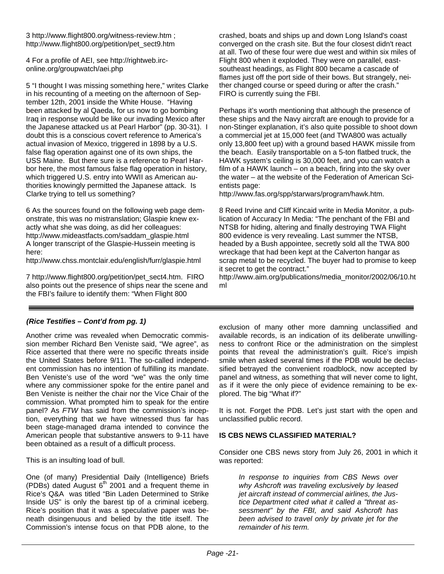3 http://www.flight800.org/witness-review.htm ; http://www.flight800.org/petition/pet\_sect9.htm

4 For a profile of AEI, see http://rightweb.irconline.org/groupwatch/aei.php

5 "I thought I was missing something here," writes Clarke in his recounting of a meeting on the afternoon of September 12th, 2001 inside the White House. "Having been attacked by al Qaeda, for us now to go bombing Iraq in response would be like our invading Mexico after the Japanese attacked us at Pearl Harbor" (pp. 30-31). I doubt this is a conscious covert reference to America's actual invasion of Mexico, triggered in 1898 by a U.S. false flag operation against one of its own ships, the USS Maine. But there sure is a reference to Pearl Harbor here, the most famous false flag operation in history, which triggered U.S. entry into WWII as American authorities knowingly permitted the Japanese attack. Is Clarke trying to tell us something?

6 As the sources found on the following web page demonstrate, this was no mistranslation; Glaspie knew exactly what she was doing, as did her colleagues: http://www.mideastfacts.com/saddam\_glaspie.html A longer transcript of the Glaspie-Hussein meeting is here:

http://www.chss.montclair.edu/english/furr/glaspie.html

7 http://www.flight800.org/petition/pet\_sect4.htm. FIRO also points out the presence of ships near the scene and the FBI's failure to identify them: "When Flight 800

crashed, boats and ships up and down Long Island's coast converged on the crash site. But the four closest didn't react at all. Two of these four were due west and within six miles of Flight 800 when it exploded. They were on parallel, eastsoutheast headings, as Flight 800 became a cascade of flames just off the port side of their bows. But strangely, neither changed course or speed during or after the crash." FIRO is currently suing the FBI.

Perhaps it's worth mentioning that although the presence of these ships and the Navy aircraft are enough to provide for a non-Stinger explanation, it's also quite possible to shoot down a commercial jet at 15,000 feet (and TWA800 was actually only 13,800 feet up) with a ground based HAWK missile from the beach. Easily transportable on a 5-ton flatbed truck, the HAWK system's ceiling is 30,000 feet, and you can watch a film of a HAWK launch – on a beach, firing into the sky over the water – at the website of the Federation of American Scientists page:

http://www.fas.org/spp/starwars/program/hawk.htm.

8 Reed Irvine and Cliff Kincaid write in Media Monitor, a publication of Accuracy In Media: "The penchant of the FBI and NTSB for hiding, altering and finally destroying TWA Flight 800 evidence is very revealing. Last summer the NTSB, headed by a Bush appointee, secretly sold all the TWA 800 wreckage that had been kept at the Calverton hangar as scrap metal to be recycled. The buyer had to promise to keep it secret to get the contract."

http://www.aim.org/publications/media\_monitor/2002/06/10.ht ml

#### *(Rice Testifies – Cont'd from pg. 1)*

Another crime was revealed when Democratic commission member Richard Ben Veniste said, "We agree", as Rice asserted that there were no specific threats inside the United States before 9/11. The so-called independent commission has no intention of fulfilling its mandate. Ben Veniste's use of the word "we" was the only time where any commissioner spoke for the entire panel and Ben Veniste is neither the chair nor the Vice Chair of the commission. What prompted him to speak for the entire panel? As *FTW* has said from the commission's inception, everything that we have witnessed thus far has been stage-managed drama intended to convince the American people that substantive answers to 9-11 have been obtained as a result of a difficult process.

This is an insulting load of bull.

One (of many) Presidential Daily (Intelligence) Briefs (PDBs) dated August  $6<sup>th</sup>$  2001 and a frequent theme in Rice's Q&A was titled "Bin Laden Determined to Strike Inside US" is only the barest tip of a criminal iceberg. Rice's position that it was a speculative paper was beneath disingenuous and belied by the title itself. The Commission's intense focus on that PDB alone, to the

exclusion of many other more damning unclassified and available records, is an indication of its deliberate unwillingness to confront Rice or the administration on the simplest points that reveal the administration's guilt. Rice's impish smile when asked several times if the PDB would be declassified betrayed the convenient roadblock, now accepted by panel and witness, as something that will never come to light, as if it were the only piece of evidence remaining to be explored. The big "What if?"

It is not. Forget the PDB. Let's just start with the open and unclassified public record.

#### **IS CBS NEWS CLASSIFIED MATERIAL?**

Consider one CBS news story from July 26, 2001 in which it was reported:

*In response to inquiries from CBS News over why Ashcroft was traveling exclusively by leased jet aircraft instead of commercial airlines, the Justice Department cited what it called a "threat assessment" by the FBI, and said Ashcroft has been advised to travel only by private jet for the remainder of his term.*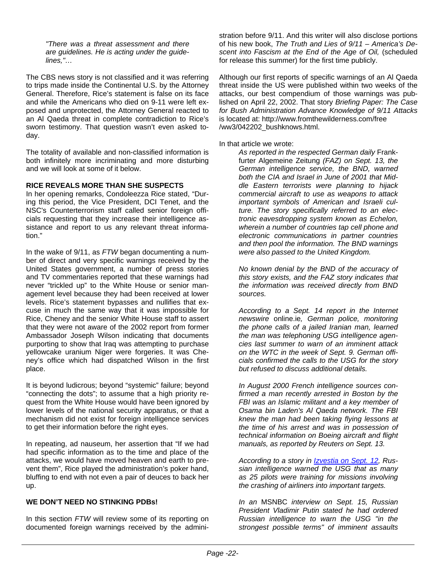*"There was a threat assessment and there are guidelines. He is acting under the guidelines,"…* 

The CBS news story is not classified and it was referring to trips made inside the Continental U.S. by the Attorney General. Therefore, Rice's statement is false on its face and while the Americans who died on 9-11 were left exposed and unprotected, the Attorney General reacted to an Al Qaeda threat in complete contradiction to Rice's sworn testimony. That question wasn't even asked today.

The totality of available and non-classified information is both infinitely more incriminating and more disturbing and we will look at some of it below.

#### **RICE REVEALS MORE THAN SHE SUSPECTS**

In her opening remarks, Condoleezza Rice stated, "During this period, the Vice President, DCI Tenet, and the NSC's Counterterrorism staff called senior foreign officials requesting that they increase their intelligence assistance and report to us any relevant threat information."

In the wake of 9/11, as *FTW* began documenting a number of direct and very specific warnings received by the United States government, a number of press stories and TV commentaries reported that these warnings had never "trickled up" to the White House or senior management level because they had been received at lower levels. Rice's statement bypasses and nullifies that excuse in much the same way that it was impossible for Rice, Cheney and the senior White House staff to assert that they were not aware of the 2002 report from former Ambassador Joseph Wilson indicating that documents purporting to show that Iraq was attempting to purchase yellowcake uranium Niger were forgeries. It was Cheney's office which had dispatched Wilson in the first place.

It is beyond ludicrous; beyond "systemic" failure; beyond "connecting the dots"; to assume that a high priority request from the White House would have been ignored by lower levels of the national security apparatus, or that a mechanism did not exist for foreign intelligence services to get their information before the right eyes.

In repeating, ad nauseum, her assertion that "If we had had specific information as to the time and place of the attacks, we would have moved heaven and earth to prevent them", Rice played the administration's poker hand, bluffing to end with not even a pair of deuces to back her up.

#### **WE DON'T NEED NO STINKING PDBs!**

In this section *FTW* will review some of its reporting on documented foreign warnings received by the administration before 9/11. And this writer will also disclose portions of his new book, *The Truth and Lies of 9/11 – America's Descent into Fascism at the End of the Age of Oil,* (scheduled for release this summer) for the first time publicly.

Although our first reports of specific warnings of an Al Qaeda threat inside the US were published within two weeks of the attacks, our best compendium of those warnings was published on April 22, 2002. That story *Briefing Paper: The Case for Bush Administration Advance Knowledge of 9/11 Attacks* is located at: http://www.fromthewilderness.com/free /ww3/042202\_bushknows.html.

#### In that article we wrote:

*As reported in the respected German daily* Frankfurter Algemeine Zeitung *(FAZ) on Sept. 13, the German intelligence service, the BND, warned both the CIA and Israel in June of 2001 that Middle Eastern terrorists were planning to hijack commercial aircraft to use as weapons to attack important symbols of American and Israeli culture. The story specifically referred to an electronic eavesdropping system known as Echelon, wherein a number of countries tap cell phone and electronic communications in partner countries and then pool the information. The BND warnings were also passed to the United Kingdom.*

*No known denial by the BND of the accuracy of this story exists, and the FAZ story indicates that the information was received directly from BND sources.*

*According to a Sept. 14 report in the Internet newswire* online.ie*, German police, monitoring the phone calls of a jailed Iranian man, learned the man was telephoning USG intelligence agencies last summer to warn of an imminent attack on the WTC in the week of Sept. 9. German officials confirmed the calls to the USG for the story but refused to discuss additional details.*

*In August 2000 French intelligence sources confirmed a man recently arrested in Boston by the FBI was an Islamic militant and a key member of Osama bin Laden's Al Qaeda network. The FBI knew the man had been taking flying lessons at the time of his arrest and was in possession of technical information on Boeing aircraft and flight manuals, as reported by Reuters on Sept. 13.*

*According to a story in [Izvestia on Sept. 12,](http://www.fromthewilderness.com/free/ww3/izvestia_story_pic.html) Russian intelligence warned the USG that as many as 25 pilots were training for missions involving the crashing of airliners into important targets.*

*In an* MSNBC *interview on Sept. 15, Russian President Vladimir Putin stated he had ordered Russian intelligence to warn the USG "in the strongest possible terms" of imminent assaults*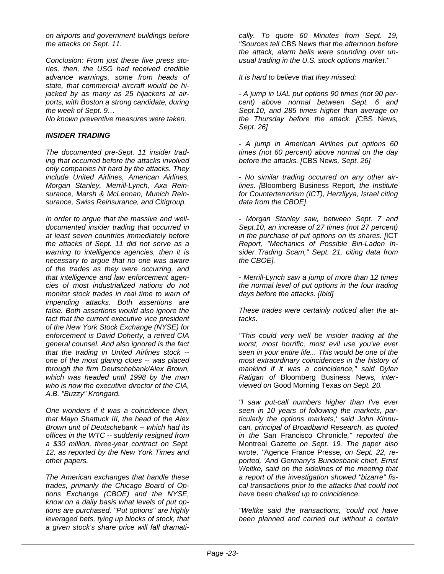*on airports and government buildings before the attacks on Sept. 11.* 

*Conclusion: From just these five press stories, then, the USG had received credible advance warnings, some from heads of state, that commercial aircraft would be hijacked by as many as 25 hijackers at airports, with Boston a strong candidate, during the week of Sept. 9…* 

*No known preventive measures were taken.* 

#### *INSIDER TRADING*

*The documented pre-Sept. 11 insider trading that occurred before the attacks involved only companies hit hard by the attacks. They include United Airlines, American Airlines, Morgan Stanley, Merrill-Lynch, Axa Reinsurance, Marsh & McLennan, Munich Reinsurance, Swiss Reinsurance, and Citigroup.* 

*In order to argue that the massive and welldocumented insider trading that occurred in at least seven countries immediately before the attacks of Sept. 11 did not serve as a warning to intelligence agencies, then it is necessary to argue that no one was aware of the trades as they were occurring, and that intelligence and law enforcement agencies of most industrialized nations do not monitor stock trades in real time to warn of impending attacks. Both assertions are false. Both assertions would also ignore the fact that the current executive vice president of the New York Stock Exchange (NYSE) for enforcement is David Doherty, a retired CIA general counsel. And also ignored is the fact that the trading in United Airlines stock - one of the most glaring clues -- was placed through the firm Deutschebank/Alex Brown, which was headed until 1998 by the man who is now the executive director of the CIA, A.B. "Buzzy" Krongard.* 

*One wonders if it was a coincidence then, that Mayo Shattuck III, the head of the Alex Brown unit of Deutschebank -- which had its offices in the WTC -- suddenly resigned from a \$30 million, three-year contract on Sept. 12, as reported by the New York Times and other papers.* 

*The American exchanges that handle these trades, primarily the Chicago Board of Options Exchange (CBOE) and the NYSE, know on a daily basis what levels of put options are purchased. "Put options" are highly leveraged bets, tying up blocks of stock, that a given stock's share price will fall dramati-*

*cally. To quote 60 Minutes from Sept. 19, "Sources tell* CBS News *that the afternoon before the attack, alarm bells were sounding over unusual trading in the U.S. stock options market."* 

*It is hard to believe that they missed:* 

*- A jump in UAL put options 90 times (not 90 percent) above normal between Sept. 6 and Sept.10, and 285 times higher than average on the Thursday before the attack. [*CBS News*, Sept. 26]* 

*- A jump in American Airlines put options 60 times (not 60 percent) above normal on the day before the attacks. [*CBS News*, Sept. 26]* 

*- No similar trading occurred on any other airlines. [*Bloomberg Business Report*, the Institute for Counterterrorism (ICT), Herzliyya, Israel citing data from the CBOE]* 

*- Morgan Stanley saw, between Sept. 7 and Sept.10, an increase of 27 times (not 27 percent) in the purchase of put options on its shares. [*ICT *Report, "Mechanics of Possible Bin-Laden Insider Trading Scam," Sept. 21, citing data from the CBOE].* 

*- Merrill-Lynch saw a jump of more than 12 times the normal level of put options in the four trading days before the attacks. [Ibid]* 

*These trades were certainly noticed* after *the attacks.* 

*"This could very well be insider trading at the worst, most horrific, most evil use you've ever seen in your entire life... This would be one of the most extraordinary coincidences in the history of mankind if it was a coincidence," said Dylan Ratigan of* Bloomberg Business News*, interviewed on* Good Morning Texas *on Sept. 20.* 

*"I saw put-call numbers higher than I've ever seen in 10 years of following the markets, particularly the options markets,' said John Kinnucan, principal of Broadband Research, as quoted in the* San Francisco Chronicle*," reported the*  Montreal Gazette *on Sept. 19. The paper also wrote, "*Agence France Presse*, on Sept. 22, reported, 'And Germany's Bundesbank chief, Ernst Weltke, said on the sidelines of the meeting that a report of the investigation showed "bizarre" fiscal transactions prior to the attacks that could not have been chalked up to coincidence.* 

*"Weltke said the transactions, 'could not have been planned and carried out without a certain*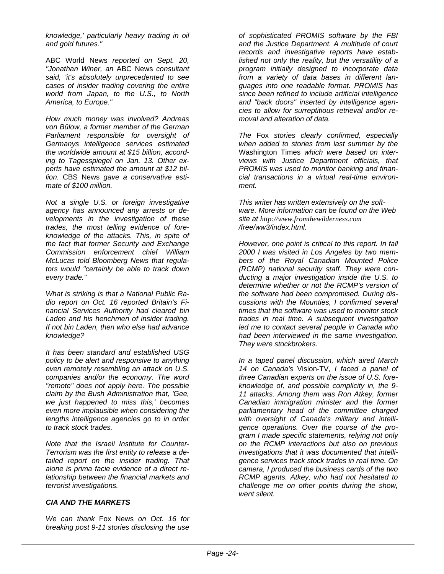*knowledge,' particularly heavy trading in oil and gold futures."* 

ABC World News *reported on Sept. 20, "Jonathan Winer, an* ABC News *consultant said, 'it's absolutely unprecedented to see cases of insider trading covering the entire world from Japan, to the U.S., to North America, to Europe."* 

*How much money was involved? Andreas von Bülow, a former member of the German Parliament responsible for oversight of Germanys intelligence services estimated the worldwide amount at \$15 billion, according to Tagesspiegel on Jan. 13. Other experts have estimated the amount at \$12 billion.* CBS News *gave a conservative estimate of \$100 million.* 

*Not a single U.S. or foreign investigative agency has announced any arrests or developments in the investigation of these trades, the most telling evidence of foreknowledge of the attacks. This, in spite of the fact that former Security and Exchange Commission enforcement chief William McLucas told Bloomberg News that regulators would "certainly be able to track down every trade."* 

*What is striking is that a National Public Radio report on Oct. 16 reported Britain's Financial Services Authority had cleared bin Laden and his henchmen of insider trading. If not bin Laden, then who else had advance knowledge?* 

*It has been standard and established USG policy to be alert and responsive to anything even remotely resembling an attack on U.S. companies and/or the economy. The word "remote" does not apply here. The possible claim by the Bush Administration that, 'Gee, we just happened to miss this,' becomes even more implausible when considering the lengths intelligence agencies go to in order to track stock trades.* 

*Note that the Israeli Institute for Counter-Terrorism was the first entity to release a detailed report on the insider trading. That alone is prima facie evidence of a direct relationship between the financial markets and terrorist investigations.* 

#### *CIA AND THE MARKETS*

*We can thank* Fox News *on Oct. 16 for breaking post 9-11 stories disclosing the use*  *of sophisticated PROMIS software by the FBI and the Justice Department. A multitude of court records and investigative reports have established not only the reality, but the versatility of a program initially designed to incorporate data from a variety of data bases in different languages into one readable format. PROMIS has since been refined to include artificial intelligence and "back doors" inserted by intelligence agencies to allow for surreptitious retrieval and/or removal and alteration of data.* 

*The* Fox *stories clearly confirmed, especially when added to stories from last summer by the*  Washington Times *which were based on interviews with Justice Department officials, that PROMIS was used to monitor banking and financial transactions in a virtual real-time environment.* 

*This writer has written extensively on the software. More information can be found on the Web site at http://www.fromthewilderness.com /free/ww3/index.html.* 

*However, one point is critical to this report. In fall 2000 I was visited in Los Angeles by two members of the Royal Canadian Mounted Police (RCMP) national security staff. They were conducting a major investigation inside the U.S. to determine whether or not the RCMP's version of the software had been compromised. During discussions with the Mounties, I confirmed several times that the software was used to monitor stock trades in real time. A subsequent investigation led me to contact several people in Canada who had been interviewed in the same investigation. They were stockbrokers.* 

*In a taped panel discussion, which aired March 14 on Canada's* Vision-TV*, I faced a panel of three Canadian experts on the issue of U.S. foreknowledge of, and possible complicity in, the 9- 11 attacks. Among them was Ron Atkey, former Canadian immigration minister and the former parliamentary head of the committee charged with oversight of Canada's military and intelligence operations. Over the course of the program I made specific statements, relying not only on the RCMP interactions but also on previous investigations that it was documented that intelligence services track stock trades in real time. On camera, I produced the business cards of the two RCMP agents. Atkey, who had not hesitated to challenge me on other points during the show, went silent.*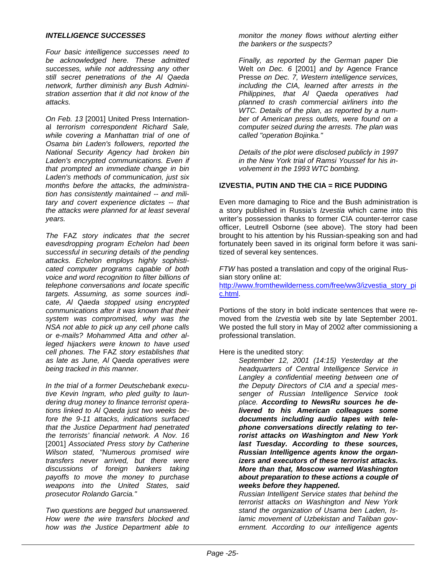#### *INTELLIGENCE SUCCESSES*

*Four basic intelligence successes need to be acknowledged here. These admitted successes, while not addressing any other still secret penetrations of the Al Qaeda network, further diminish any Bush Administration assertion that it did not know of the attacks.* 

*On Feb. 13* [2001] United Press International *terrorism correspondent Richard Sale, while covering a Manhattan trial of one of Osama bin Laden's followers, reported the National Security Agency had broken bin Laden's encrypted communications. Even if that prompted an immediate change in bin Laden's methods of communication, just six months before the attacks, the administration has consistently maintained -- and military and covert experience dictates -- that the attacks were planned for at least several years.* 

*The* FAZ *story indicates that the secret eavesdropping program Echelon had been successful in securing details of the pending attacks. Echelon employs highly sophisticated computer programs capable of both voice and word recognition to filter billions of telephone conversations and locate specific targets. Assuming, as some sources indicate, Al Qaeda stopped using encrypted communications after it was known that their system was compromised, why was the NSA not able to pick up any cell phone calls or e-mails? Mohammed Atta and other alleged hijackers were known to have used cell phones. The* FAZ *story establishes that as late as June, Al Qaeda operatives were being tracked in this manner.* 

*In the trial of a former Deutschebank executive Kevin Ingram, who pled guilty to laundering drug money to finance terrorist operations linked to Al Qaeda just two weeks before the 9-11 attacks, indications surfaced that the Justice Department had penetrated the terrorists' financial network. A Nov. 16*  [2001] *Associated Press story by Catherine Wilson stated, "Numerous promised wire transfers never arrived, but there were discussions of foreign bankers taking payoffs to move the money to purchase weapons into the United States, said prosecutor Rolando Garcia."* 

*Two questions are begged but unanswered. How were the wire transfers blocked and how was the Justice Department able to* 

*monitor the money flows without alerting either the bankers or the suspects?* 

*Finally, as reported by the German paper* Die Welt *on Dec. 6* [2001] *and by* Agence France Presse *on Dec. 7, Western intelligence services, including the CIA, learned after arrests in the Philippines, that Al Qaeda operatives had planned to crash commercial airliners into the WTC. Details of the plan, as reported by a number of American press outlets, were found on a computer seized during the arrests. The plan was called "operation Bojinka."* 

*Details of the plot were disclosed publicly in 1997 in the New York trial of Ramsi Youssef for his involvement in the 1993 WTC bombing.* 

#### **IZVESTIA, PUTIN AND THE CIA = RICE PUDDING**

Even more damaging to Rice and the Bush administration is a story published in Russia's *Izvestia* which came into this writer's possession thanks to former CIA counter-terror case officer, Leutrell Osborne (see above). The story had been brought to his attention by his Russian-speaking son and had fortunately been saved in its original form before it was sanitized of several key sentences.

*FTW* has posted a translation and copy of the original Russian story online at: [http://www.fromthewilderness.com/free/ww3/izvestia\\_story\\_pi](http://www.fromthewilderness.com/free/ww3/izvestia_story_pic.html) [c.html](http://www.fromthewilderness.com/free/ww3/izvestia_story_pic.html).

Portions of the story in bold indicate sentences that were removed from the *Izvestia* web site by late September 2001. We posted the full story in May of 2002 after commissioning a professional translation.

Here is the unedited story:

*September 12, 2001 (14:15) Yesterday at the headquarters of Central Intelligence Service in Langley a confidential meeting between one of the Deputy Directors of CIA and a special messenger of Russian Intelligence Service took place. According to NewsRu sources he delivered to his American colleagues some documents including audio tapes with telephone conversations directly relating to terrorist attacks on Washington and New York last Tuesday. According to these sources, Russian Intelligence agents know the organizers and executors of these terrorist attacks. More than that, Moscow warned Washington about preparation to these actions a couple of weeks before they happened.* 

*Russian Intelligent Service states that behind the terrorist attacks on Washington and New York stand the organization of Usama ben Laden, Islamic movement of Uzbekistan and Taliban government. According to our intelligence agents*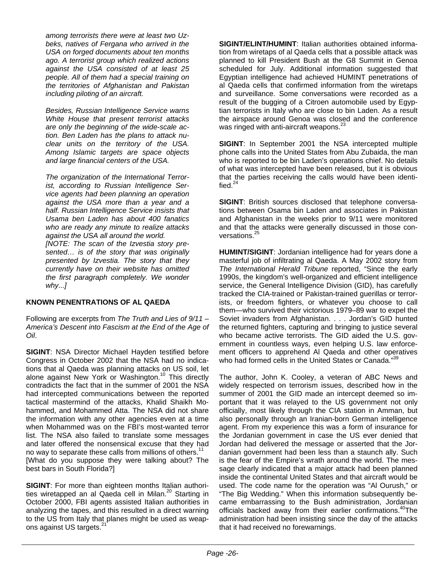*among terrorists there were at least two Uzbeks, natives of Fergana who arrived in the USA on forged documents about ten months ago. A terrorist group which realized actions against the USA consisted of at least 25 people. All of them had a special training on the territories of Afghanistan and Pakistan including piloting of an aircraft.* 

*Besides, Russian Intelligence Service warns White House that present terrorist attacks are only the beginning of the wide-scale action. Ben Laden has the plans to attack nuclear units on the territory of the USA. Among Islamic targets are space objects and large financial centers of the USA.* 

*The organization of the International Terrorist, according to Russian Intelligence Service agents had been planning an operation against the USA more than a year and a half. Russian Intelligence Service insists that Usama ben Laden has about 400 fanatics who are ready any minute to realize attacks against the USA all around the world.* 

*[NOTE: The scan of the Izvestia story presented… is of the story that was originally presented by Izvestia. The story that they currently have on their website has omitted the first paragraph completely. We wonder why...]* 

#### **KNOWN PENENTRATIONS OF AL QAEDA**

Following are excerpts from *The Truth and Lies of 9/11 – America's Descent into Fascism at the End of the Age of Oil*.

**SIGINT**: NSA Director Michael Hayden testified before Congress in October 2002 that the NSA had no indications that al Qaeda was planning attacks on US soil, let alone against New York or Washington.<sup>10</sup> This directly contradicts the fact that in the summer of 2001 the NSA had intercepted communications between the reported tactical mastermind of the attacks, Khalid Shaikh Mohammed, and Mohammed Atta. The NSA did not share the information with any other agencies even at a time when Mohammed was on the FBI's most-wanted terror list. The NSA also failed to translate some messages and later offered the nonsensical excuse that they had no way to separate these calls from millions of others.<sup>11</sup> [What do you suppose they were talking about? The best bars in South Florida?]

**SIGINT**: For more than eighteen months Italian authorities wiretapped an al Qaeda cell in Milan.<sup>20</sup> Starting in October 2000, FBI agents assisted Italian authorities in analyzing the tapes, and this resulted in a direct warning to the US from Italy that planes might be used as weapons against US targets.<sup>21</sup>

**SIGINT/ELINT/HUMINT**: Italian authorities obtained information from wiretaps of al Qaeda cells that a possible attack was planned to kill President Bush at the G8 Summit in Genoa scheduled for July. Additional information suggested that Egyptian intelligence had achieved HUMINT penetrations of al Qaeda cells that confirmed information from the wiretaps and surveillance. Some conversations were recorded as a result of the bugging of a Citroen automobile used by Egyptian terrorists in Italy who are close to bin Laden. As a result the airspace around Genoa was closed and the conference was ringed with anti-aircraft weapons.<sup>23</sup>

**SIGINT**: In September 2001 the NSA intercepted multiple phone calls into the United States from Abu Zubaida, the man who is reported to be bin Laden's operations chief. No details of what was intercepted have been released, but it is obvious that the parties receiving the calls would have been identified. $^{24}$ 

**SIGINT**: British sources disclosed that telephone conversations between Osama bin Laden and associates in Pakistan and Afghanistan in the weeks prior to 9/11 were monitored and that the attacks were generally discussed in those conversations.<sup>2</sup>

**HUMINT/SIGINT**: Jordanian intelligence had for years done a masterful job of infiltrating al Qaeda. A May 2002 story from *The International Herald Tribune* reported, "Since the early 1990s, the kingdom's well-organized and efficient intelligence service, the General Intelligence Division (GID), has carefully tracked the CIA-trained or Pakistan-trained guerillas or terrorists, or freedom fighters, or whatever you choose to call them—who survived their victorious 1979–89 war to expel the Soviet invaders from Afghanistan. . . . Jordan's GID hunted the returned fighters, capturing and bringing to justice several who became active terrorists. The GID aided the U.S. government in countless ways, even helping U.S. law enforcement officers to apprehend Al Qaeda and other operatives who had formed cells in the United States or Canada."<sup>3</sup>

The author, John K. Cooley, a veteran of ABC News and widely respected on terrorism issues, described how in the summer of 2001 the GID made an intercept deemed so important that it was relayed to the US government not only officially, most likely through the CIA station in Amman, but also personally through an Iranian-born German intelligence agent. From my experience this was a form of insurance for the Jordanian government in case the US ever denied that Jordan had delivered the message or asserted that the Jordanian government had been less than a staunch ally. Such is the fear of the Empire's wrath around the world. The message clearly indicated that a major attack had been planned inside the continental United States and that aircraft would be used. The code name for the operation was "Al Ourush," or "The Big Wedding." When this information subsequently became embarrassing to the Bush administration, Jordanian officials backed away from their earlier confirmations.<sup>40</sup>The administration had been insisting since the day of the attacks that it had received no forewarnings.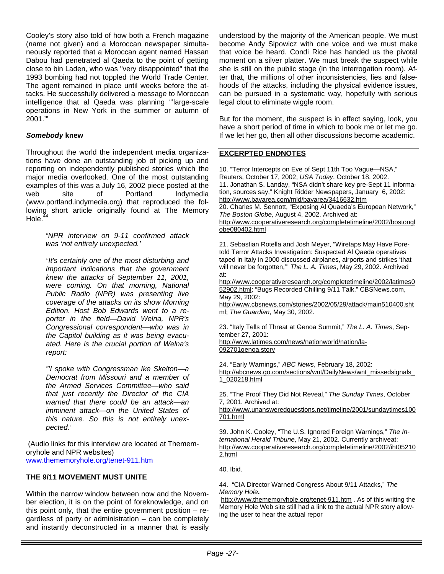Cooley's story also told of how both a French magazine (name not given) and a Moroccan newspaper simultaneously reported that a Moroccan agent named Hassan Dabou had penetrated al Qaeda to the point of getting close to bin Laden, who was "very disappointed" that the 1993 bombing had not toppled the World Trade Center. The agent remained in place until weeks before the attacks. He successfully delivered a message to Moroccan intelligence that al Qaeda was planning "'large-scale operations in New York in the summer or autumn of 2001.'"

#### *Somebody* **knew**

Throughout the world the independent media organizations have done an outstanding job of picking up and reporting on independently published stories which the major media overlooked. One of the most outstanding examples of this was a July 16, 2002 piece posted at the web site of Portland Indymedia (www.portland.indymedia.org) that reproduced the following short article originally found at The Memory Hole. $^{4}$ 

> *"NPR interview on 9-11 confirmed attack was 'not entirely unexpected.'*

> *"It's certainly one of the most disturbing and important indications that the government knew the attacks of September 11, 2001, were coming. On that morning, National Public Radio (NPR) was presenting live coverage of the attacks on its show Morning Edition. Host Bob Edwards went to a reporter in the field—David Welna, NPR's Congressional correspondent—who was in the Capitol building as it was being evacuated. Here is the crucial portion of Welna's report:*

> *"'I spoke with Congressman Ike Skelton—a Democrat from Missouri and a member of the Armed Services Committee—who said that just recently the Director of the CIA warned that there could be an attack—an imminent attack—on the United States of this nature. So this is not entirely unexpected.'*

 (Audio links for this interview are located at Thememoryhole and NPR websites) [www.thememoryhole.org/tenet-911.htm](http://www.thememoryhole.org/tenet-911.htm)

#### **THE 9/11 MOVEMENT MUST UNITE**

Within the narrow window between now and the November election, it is on the point of foreknowledge, and on this point only, that the entire government position – regardless of party or administration – can be completely and instantly deconstructed in a manner that is easily understood by the majority of the American people. We must become Andy Sipowicz with one voice and we must make that voice be heard. Condi Rice has handed us the pivotal moment on a silver platter. We must break the suspect while she is still on the public stage (in the interrogation room). After that, the millions of other inconsistencies, lies and falsehoods of the attacks, including the physical evidence issues, can be pursued in a systematic way, hopefully with serious legal clout to eliminate wiggle room.

But for the moment, the suspect is in effect saying, look, you have a short period of time in which to book me or let me go. If we let her go, then all other discussions become academic.

#### **EXCERPTED ENDNOTES**

10. "Terror Intercepts on Eve of Sept 11th Too Vague—NSA," Reuters, October 17, 2002; *USA Today*, October 18, 2002. 11. Jonathan S. Landay, "NSA didn't share key pre-Sept 11 information, sources say," Knight Ridder Newspapers, January 6, 2002: <http://www.bayarea.com/mld/bayarea/3416632.htm> 20. Charles M. Sennott, "Exposing Al Quaeda's European Network," *The Boston Globe*, August 4, 2002. Archived at: [http://www.cooperativeresearch.org/completetimeline/2002/bostongl](http://www.cooperativeresearch.org/completetimeline/2002/bostonglobe080402.html) [obe080402.html](http://www.cooperativeresearch.org/completetimeline/2002/bostonglobe080402.html)

21. Sebastian Rotella and Josh Meyer, "Wiretaps May Have Foretold Terror Attacks Investigation: Suspected Al Qaeda operatives taped in Italy in 2000 discussed airplanes, airports and strikes 'that will never be forgotten,'" *The L. A. Times*, May 29, 2002. Archived at:

[http://www.cooperativeresearch.org/completetimeline/2002/latimes0](http://www.cooperativeresearch.org/completetimeline/2002/latimes052902.html) [52902.html;](http://www.cooperativeresearch.org/completetimeline/2002/latimes052902.html) "Bugs Recorded Chilling 9/11 Talk," CBSNews.com, May 29, 2002:

[http://www.cbsnews.com/stories/2002/05/29/attack/main510400.sht](http://www.cbsnews.com/stories/2002/05/29/attack/main510400.shtml) [ml;](http://www.cbsnews.com/stories/2002/05/29/attack/main510400.shtml) *The Guardian*, May 30, 2002.

23. "Italy Tells of Threat at Genoa Summit," *The L. A. Times*, September 27, 2001:

[http://www.latimes.com/news/nationworld/nation/la-](http://www.latimes.com/news/nationworld/nation/la-092701genoa.story)[092701genoa.story](http://www.latimes.com/news/nationworld/nation/la-092701genoa.story)

24. "Early Warnings," *ABC News*, February 18, 2002: [http://abcnews.go.com/sections/wnt/DailyNews/wnt\\_missedsignals\\_](http://abcnews.go.com/sections/wnt/DailyNews/wnt_missedsignals_1_020218.html) [1\\_020218.html](http://abcnews.go.com/sections/wnt/DailyNews/wnt_missedsignals_1_020218.html)

25. "The Proof They Did Not Reveal," *The Sunday Times*, October 7, 2001. Archived at:

[http://www.unansweredquestions.net/timeline/2001/sundaytimes100](http://www.unansweredquestions.net/timeline/2001/sundaytimes100701.html) [701.html](http://www.unansweredquestions.net/timeline/2001/sundaytimes100701.html)

39. John K. Cooley, "The U.S. Ignored Foreign Warnings," *The International Herald Tribune*, May 21, 2002. Currently archiveat: [http://www.cooperativeresearch.org/completetimeline/2002/iht05210](http://www.cooperativeresearch.org/completetimeline/2002/iht052102.html) [2.html](http://www.cooperativeresearch.org/completetimeline/2002/iht052102.html)

40. Ibid.

44. "CIA Director Warned Congress About 9/11 Attacks," *The Memory Hole***.**

http://www.thememoryhole.org/tenet-911.htm . As of this writing the Memory Hole Web site still had a link to the actual NPR story allowing the user to hear the actual repor